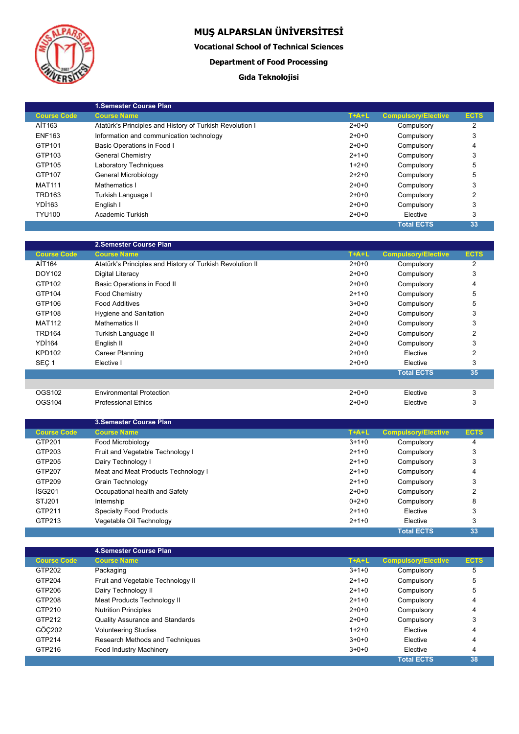

I

# **MUŞ ALPARSLAN ÜNİVERSİTESİ**

**Vocational School of Technical Sciences**

### **Department of Food Processing**

### **Gıda Teknolojisi**

|                    | <b>1.Semester Course Plan</b>                            |         |                            |             |
|--------------------|----------------------------------------------------------|---------|----------------------------|-------------|
| <b>Course Code</b> | <b>Course Name</b>                                       | $T+A+L$ | <b>Compulsory/Elective</b> | <b>ECTS</b> |
| AİT163             | Atatürk's Principles and History of Turkish Revolution I | $2+0+0$ | Compulsory                 | 2           |
| <b>ENF163</b>      | Information and communication technology                 | $2+0+0$ | Compulsory                 | 3           |
| GTP101             | Basic Operations in Food I                               | $2+0+0$ | Compulsory                 | 4           |
| GTP103             | <b>General Chemistry</b>                                 | $2+1+0$ | Compulsory                 | 3           |
| GTP105             | <b>Laboratory Techniques</b>                             | $1+2+0$ | Compulsory                 | 5           |
| GTP107             | General Microbiology                                     | $2+2+0$ | Compulsory                 | 5           |
| <b>MAT111</b>      | Mathematics I                                            | $2+0+0$ | Compulsory                 | 3           |
| TRD163             | Turkish Language I                                       | $2+0+0$ | Compulsory                 | 2           |
| <b>YD1163</b>      | English I                                                | $2+0+0$ | Compulsory                 | 3           |
| <b>TYU100</b>      | Academic Turkish                                         | $2+0+0$ | Elective                   | 3           |
|                    |                                                          |         | <b>Total ECTS</b>          | 33          |

|                    | 2.Semester Course Plan                                    |              |                            |                |
|--------------------|-----------------------------------------------------------|--------------|----------------------------|----------------|
| <b>Course Code</b> | <b>Course Name</b>                                        | <b>T+A+L</b> | <b>Compulsory/Elective</b> | <b>ECTS</b>    |
| AIT164             | Atatürk's Principles and History of Turkish Revolution II | $2+0+0$      | Compulsory                 | 2              |
| DOY102             | Digital Literacy                                          | $2+0+0$      | Compulsory                 | 3              |
| GTP102             | Basic Operations in Food II                               | $2+0+0$      | Compulsory                 | 4              |
| GTP104             | <b>Food Chemistry</b>                                     | $2+1+0$      | Compulsory                 | 5              |
| GTP106             | <b>Food Additives</b>                                     | $3+0+0$      | Compulsory                 | 5              |
| GTP108             | Hygiene and Sanitation                                    | $2+0+0$      | Compulsory                 | 3              |
| <b>MAT112</b>      | Mathematics II                                            | $2+0+0$      | Compulsory                 | 3              |
| <b>TRD164</b>      | Turkish Language II                                       | $2+0+0$      | Compulsory                 | $\overline{2}$ |
| <b>YD1164</b>      | English II                                                | $2+0+0$      | Compulsory                 | 3              |
| <b>KPD102</b>      | Career Planning                                           | $2+0+0$      | Elective                   | 2              |
| SEC <sub>1</sub>   | Elective I                                                | $2+0+0$      | Elective                   | 3              |
|                    |                                                           |              | <b>Total ECTS</b>          | 35             |
|                    |                                                           |              |                            |                |
| OGS102             | <b>Environmental Protection</b>                           | $2+0+0$      | Elective                   | 3              |
| OGS104             | <b>Professional Ethics</b>                                | $2+0+0$      | Elective                   | 3              |

|                    | <b>3. Semester Course Plan</b>      |         |                            |             |
|--------------------|-------------------------------------|---------|----------------------------|-------------|
| <b>Course Code</b> | <b>Course Name</b>                  | $T+A+L$ | <b>Compulsory/Elective</b> | <b>ECTS</b> |
| GTP201             | Food Microbiology                   | $3+1+0$ | Compulsory                 | 4           |
| GTP203             | Fruit and Vegetable Technology I    | $2+1+0$ | Compulsory                 | 3           |
| GTP205             | Dairy Technology I                  | $2+1+0$ | Compulsory                 | 3           |
| GTP207             | Meat and Meat Products Technology I | $2+1+0$ | Compulsory                 | 4           |
| GTP209             | Grain Technology                    | $2+1+0$ | Compulsory                 | 3           |
| <b>ISG201</b>      | Occupational health and Safety      | $2+0+0$ | Compulsory                 | 2           |
| STJ201             | Internship                          | $0+2+0$ | Compulsory                 | 8           |
| GTP211             | <b>Specialty Food Products</b>      | $2+1+0$ | Elective                   | 3           |
| GTP213             | Vegetable Oil Technology            | $2+1+0$ | Elective                   | 3           |
|                    |                                     |         | <b>Total ECTS</b>          | 33          |

|                    | 4. Semester Course Plan                |         |                            |             |
|--------------------|----------------------------------------|---------|----------------------------|-------------|
| <b>Course Code</b> | <b>Course Name</b>                     | $T+A+L$ | <b>Compulsory/Elective</b> | <b>ECTS</b> |
| GTP202             | Packaging                              | $3+1+0$ | Compulsory                 | 5           |
| GTP204             | Fruit and Vegetable Technology II      | $2+1+0$ | Compulsory                 | 5           |
| GTP206             | Dairy Technology II                    | $2+1+0$ | Compulsory                 | 5           |
| GTP208             | Meat Products Technology II            | $2+1+0$ | Compulsory                 | 4           |
| GTP210             | <b>Nutrition Principles</b>            | $2+0+0$ | Compulsory                 | 4           |
| GTP212             | <b>Quality Assurance and Standards</b> | $2+0+0$ | Compulsory                 | 3           |
| GÖC202             | <b>Volunteering Studies</b>            | $1+2+0$ | Elective                   | 4           |
| GTP214             | Research Methods and Techniques        | $3+0+0$ | Elective                   | 4           |
| GTP216             | Food Industry Machinery                | $3+0+0$ | Elective                   | 4           |
|                    |                                        |         | <b>Total ECTS</b>          | 38          |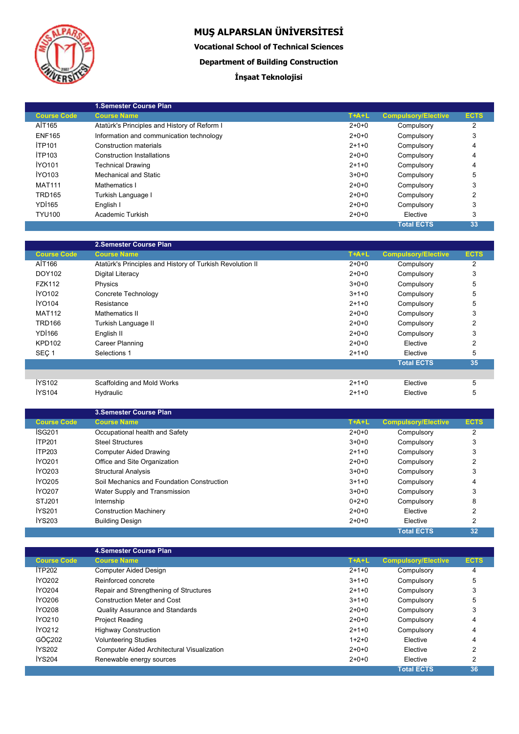

I

# **MUŞ ALPARSLAN ÜNİVERSİTESİ**

**Vocational School of Technical Sciences**

**Department of Building Construction**

## **İnşaat Teknolojisi**

|                    | <b>1.Semester Course Plan</b>                |         |                            |             |
|--------------------|----------------------------------------------|---------|----------------------------|-------------|
| <b>Course Code</b> | <b>Course Name</b>                           | $T+A+L$ | <b>Compulsory/Elective</b> | <b>ECTS</b> |
| AİT165             | Atatürk's Principles and History of Reform I | $2+0+0$ | Compulsory                 | 2           |
| <b>ENF165</b>      | Information and communication technology     | $2+0+0$ | Compulsory                 | 3           |
| <b>İTP101</b>      | Construction materials                       | $2+1+0$ | Compulsory                 | 4           |
| <b>İTP103</b>      | <b>Construction Installations</b>            | $2+0+0$ | Compulsory                 | 4           |
| İYO101             | <b>Technical Drawing</b>                     | $2+1+0$ | Compulsory                 | 4           |
| IYO103             | Mechanical and Static                        | $3+0+0$ | Compulsory                 | 5           |
| <b>MAT111</b>      | Mathematics I                                | $2+0+0$ | Compulsory                 | 3           |
| <b>TRD165</b>      | Turkish Language I                           | $2+0+0$ | Compulsory                 | 2           |
| <b>YD1165</b>      | English I                                    | $2+0+0$ | Compulsory                 | 3           |
| <b>TYU100</b>      | Academic Turkish                             | $2+0+0$ | Elective                   | 3           |
|                    |                                              |         | <b>Total ECTS</b>          | 33          |

|                    | 2. Semester Course Plan                                   |         |                            |                |
|--------------------|-----------------------------------------------------------|---------|----------------------------|----------------|
| <b>Course Code</b> | <b>Course Name</b>                                        | $T+A+L$ | <b>Compulsory/Elective</b> | <b>ECTS</b>    |
| AİT166             | Atatürk's Principles and History of Turkish Revolution II | $2+0+0$ | Compulsory                 | $\overline{2}$ |
| DOY102             | Digital Literacy                                          | $2+0+0$ | Compulsory                 | 3              |
| <b>FZK112</b>      | Physics                                                   | $3+0+0$ | Compulsory                 | 5              |
| <b>IYO102</b>      | Concrete Technology                                       | $3+1+0$ | Compulsory                 | 5              |
| <b>İYO104</b>      | Resistance                                                | $2+1+0$ | Compulsory                 | 5              |
| <b>MAT112</b>      | Mathematics II                                            | $2+0+0$ | Compulsory                 | 3              |
| <b>TRD166</b>      | Turkish Language II                                       | $2+0+0$ | Compulsory                 | $\overline{2}$ |
| <b>YD1166</b>      | English II                                                | $2+0+0$ | Compulsory                 | 3              |
| <b>KPD102</b>      | Career Planning                                           | $2+0+0$ | Elective                   | $\overline{2}$ |
| SEC <sub>1</sub>   | Selections 1                                              | $2+1+0$ | Elective                   | 5              |
|                    |                                                           |         | <b>Total ECTS</b>          | 35             |
|                    |                                                           |         |                            |                |
| <b>İYS102</b>      | Scaffolding and Mold Works                                | $2+1+0$ | Elective                   | 5              |
| <b>IYS104</b>      | Hydraulic                                                 | $2+1+0$ | Elective                   | 5              |

|                    | <b>3. Semester Course Plan</b>             |         |                            |             |
|--------------------|--------------------------------------------|---------|----------------------------|-------------|
| <b>Course Code</b> | <b>Course Name</b>                         | $T+A+L$ | <b>Compulsory/Elective</b> | <b>ECTS</b> |
| ISG <sub>201</sub> | Occupational health and Safety             | $2+0+0$ | Compulsory                 | 2           |
| <b>İTP201</b>      | <b>Steel Structures</b>                    | $3+0+0$ | Compulsory                 | 3           |
| <b>İTP203</b>      | <b>Computer Aided Drawing</b>              | $2+1+0$ | Compulsory                 | 3           |
| <b>IYO201</b>      | Office and Site Organization               | $2+0+0$ | Compulsory                 | 2           |
| <b>IYO203</b>      | <b>Structural Analysis</b>                 | $3+0+0$ | Compulsory                 | 3           |
| <b>IYO205</b>      | Soil Mechanics and Foundation Construction | $3+1+0$ | Compulsory                 | 4           |
| <b>İYO207</b>      | Water Supply and Transmission              | $3+0+0$ | Compulsory                 | 3           |
| STJ201             | Internship                                 | $0+2+0$ | Compulsory                 | 8           |
| <b>İYS201</b>      | <b>Construction Machinery</b>              | $2+0+0$ | Elective                   | 2           |
| <b>İYS203</b>      | <b>Building Design</b>                     | $2+0+0$ | Elective                   | 2           |
|                    |                                            |         | <b>Total ECTS</b>          | 32          |

|                    | 4. Semester Course Plan                    |         |                            |             |
|--------------------|--------------------------------------------|---------|----------------------------|-------------|
| <b>Course Code</b> | <b>Course Name</b>                         | $T+A+L$ | <b>Compulsory/Elective</b> | <b>ECTS</b> |
| İTP202             | <b>Computer Aided Design</b>               | $2+1+0$ | Compulsory                 | 4           |
| <b>IYO202</b>      | Reinforced concrete                        | $3+1+0$ | Compulsory                 | 5           |
| <b>İYO204</b>      | Repair and Strengthening of Structures     | $2+1+0$ | Compulsory                 | 3           |
| İYO206             | <b>Construction Meter and Cost</b>         | $3+1+0$ | Compulsory                 | 5           |
| <b>İYO208</b>      | <b>Quality Assurance and Standards</b>     | $2+0+0$ | Compulsory                 | 3           |
| İYO210             | <b>Project Reading</b>                     | $2+0+0$ | Compulsory                 | 4           |
| <b>IYO212</b>      | <b>Highway Construction</b>                | $2+1+0$ | Compulsory                 | 4           |
| GÖC202             | <b>Volunteering Studies</b>                | $1+2+0$ | Elective                   | 4           |
| <b>İYS202</b>      | Computer Aided Architectural Visualization | $2+0+0$ | Elective                   | 2           |
| <b>İYS204</b>      | Renewable energy sources                   | $2+0+0$ | Elective                   | 2           |
|                    |                                            |         | <b>Total ECTS</b>          | 36          |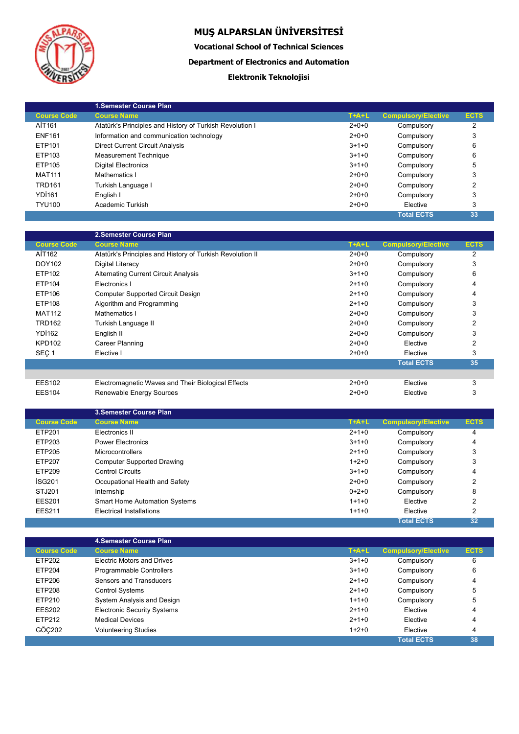

**Vocational School of Technical Sciences**

**Department of Electronics and Automation**

### **Elektronik Teknolojisi**

|                    | <b>1.Semester Course Plan</b>                            |         |                            |             |
|--------------------|----------------------------------------------------------|---------|----------------------------|-------------|
| <b>Course Code</b> | <b>Course Name</b>                                       | $T+A+L$ | <b>Compulsory/Elective</b> | <b>ECTS</b> |
| AİT161             | Atatürk's Principles and History of Turkish Revolution I | $2+0+0$ | Compulsory                 | 2           |
| <b>ENF161</b>      | Information and communication technology                 | $2+0+0$ | Compulsory                 | 3           |
| ETP101             | <b>Direct Current Circuit Analysis</b>                   | $3+1+0$ | Compulsory                 | 6           |
| ETP103             | <b>Measurement Technique</b>                             | $3+1+0$ | Compulsory                 | 6           |
| ETP105             | <b>Digital Electronics</b>                               | $3+1+0$ | Compulsory                 | 5           |
| <b>MAT111</b>      | Mathematics I                                            | $2+0+0$ | Compulsory                 | 3           |
| <b>TRD161</b>      | Turkish Language I                                       | $2+0+0$ | Compulsory                 | 2           |
| <b>YDI161</b>      | English I                                                | $2+0+0$ | Compulsory                 | 3           |
| <b>TYU100</b>      | Academic Turkish                                         | $2+0+0$ | Elective                   | 3           |
|                    |                                                          |         | <b>Total ECTS</b>          | 33          |

|                    | 2.Semester Course Plan                                    |         |                            |             |
|--------------------|-----------------------------------------------------------|---------|----------------------------|-------------|
| <b>Course Code</b> | <b>Course Name</b>                                        | $T+A+L$ | <b>Compulsory/Elective</b> | <b>ECTS</b> |
| AIT162             | Atatürk's Principles and History of Turkish Revolution II | $2+0+0$ | Compulsory                 | 2           |
| DOY102             | Digital Literacy                                          | $2+0+0$ | Compulsory                 | 3           |
| ETP102             | <b>Alternating Current Circuit Analysis</b>               | $3+1+0$ | Compulsory                 | 6           |
| ETP104             | Electronics I                                             | $2+1+0$ | Compulsory                 | 4           |
| ETP106             | <b>Computer Supported Circuit Design</b>                  | $2+1+0$ | Compulsory                 | 4           |
| ETP108             | Algorithm and Programming                                 | $2+1+0$ | Compulsory                 | 3           |
| <b>MAT112</b>      | Mathematics I                                             | $2+0+0$ | Compulsory                 | 3           |
| <b>TRD162</b>      | Turkish Language II                                       | $2+0+0$ | Compulsory                 | 2           |
| <b>YD1162</b>      | English II                                                | $2+0+0$ | Compulsory                 | 3           |
| <b>KPD102</b>      | Career Planning                                           | $2+0+0$ | Elective                   | 2           |
| SEÇ <sub>1</sub>   | Elective I                                                | $2+0+0$ | Elective                   | 3           |
|                    |                                                           |         | <b>Total ECTS</b>          | 35          |
|                    |                                                           |         |                            |             |
| <b>EES102</b>      | Electromagnetic Waves and Their Biological Effects        | $2+0+0$ | Elective                   | 3           |
| <b>EES104</b>      | Renewable Energy Sources                                  | $2+0+0$ | Elective                   | 3           |

|                    | <b>3. Semester Course Plan</b>       |         |                            |             |
|--------------------|--------------------------------------|---------|----------------------------|-------------|
| <b>Course Code</b> | <b>Course Name</b>                   | $T+A+L$ | <b>Compulsory/Elective</b> | <b>ECTS</b> |
| ETP201             | Electronics II                       | $2+1+0$ | Compulsory                 | 4           |
| ETP203             | <b>Power Electronics</b>             | $3+1+0$ | Compulsory                 | 4           |
| ETP205             | <b>Microcontrollers</b>              | $2+1+0$ | Compulsory                 | 3           |
| ETP207             | <b>Computer Supported Drawing</b>    | $1+2+0$ | Compulsory                 | 3           |
| ETP209             | <b>Control Circuits</b>              | $3+1+0$ | Compulsory                 | 4           |
| İSG201             | Occupational Health and Safety       | $2+0+0$ | Compulsory                 | 2           |
| STJ201             | Internship                           | $0+2+0$ | Compulsory                 | 8           |
| <b>EES201</b>      | <b>Smart Home Automation Systems</b> | $1+1+0$ | Elective                   | 2           |
| <b>EES211</b>      | Electrical Installations             | $1+1+0$ | Elective                   | 2           |
|                    |                                      |         | <b>Total ECTS</b>          | 32          |

|                    | 4. Semester Course Plan            |         |                            |             |
|--------------------|------------------------------------|---------|----------------------------|-------------|
| <b>Course Code</b> | <b>Course Name</b>                 | $T+A+L$ | <b>Compulsory/Elective</b> | <b>ECTS</b> |
| ETP202             | <b>Electric Motors and Drives</b>  | $3+1+0$ | Compulsory                 | 6           |
| ETP204             | Programmable Controllers           | $3+1+0$ | Compulsory                 | 6           |
| ETP206             | Sensors and Transducers            | $2+1+0$ | Compulsory                 | 4           |
| ETP208             | <b>Control Systems</b>             | $2+1+0$ | Compulsory                 | 5           |
| ETP210             | System Analysis and Design         | $1+1+0$ | Compulsory                 | 5           |
| <b>EES202</b>      | <b>Electronic Security Systems</b> | $2+1+0$ | Elective                   | 4           |
| ETP212             | <b>Medical Devices</b>             | $2+1+0$ | Elective                   | 4           |
| GÖC202             | <b>Volunteering Studies</b>        | $1+2+0$ | Elective                   | 4           |
|                    |                                    |         | <b>Total ECTS</b>          | 38          |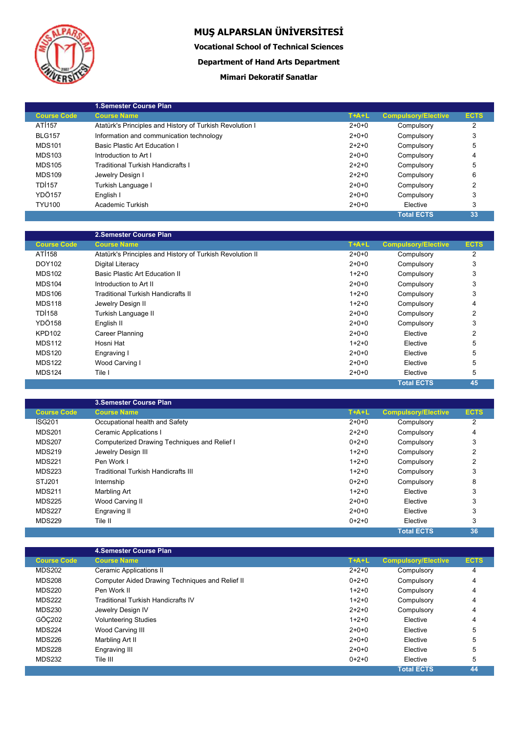

**Vocational School of Technical Sciences**

**Department of Hand Arts Department**

### **Mimari Dekoratif Sanatlar**

|                    | 1. Semester Course Plan                                  |         |                            |             |
|--------------------|----------------------------------------------------------|---------|----------------------------|-------------|
| <b>Course Code</b> | <b>Course Name</b>                                       | $T+A+L$ | <b>Compulsory/Elective</b> | <b>ECTS</b> |
| AT1157             | Atatürk's Principles and History of Turkish Revolution I | $2+0+0$ | Compulsory                 | 2           |
| <b>BLG157</b>      | Information and communication technology                 | $2+0+0$ | Compulsory                 | 3           |
| <b>MDS101</b>      | Basic Plastic Art Education I                            | $2+2+0$ | Compulsory                 | 5           |
| <b>MDS103</b>      | Introduction to Art I                                    | $2+0+0$ | Compulsory                 | 4           |
| <b>MDS105</b>      | <b>Traditional Turkish Handicrafts I</b>                 | $2+2+0$ | Compulsory                 | 5           |
| <b>MDS109</b>      | Jewelry Design I                                         | $2+2+0$ | Compulsory                 | 6           |
| <b>TDI157</b>      | Turkish Language I                                       | $2+0+0$ | Compulsory                 | 2           |
| YDÖ157             | English I                                                | $2+0+0$ | Compulsory                 | 3           |
| <b>TYU100</b>      | Academic Turkish                                         | $2+0+0$ | Elective                   | 3           |
|                    |                                                          |         | <b>Total ECTS</b>          | 33          |

|                    | 2.Semester Course Plan                                    |         |                            |                |
|--------------------|-----------------------------------------------------------|---------|----------------------------|----------------|
| <b>Course Code</b> | <b>Course Name</b>                                        | $T+A+L$ | <b>Compulsory/Elective</b> | <b>ECTS</b>    |
| ATI <sub>158</sub> | Atatürk's Principles and History of Turkish Revolution II | $2+0+0$ | Compulsory                 | 2              |
| DOY102             | Digital Literacy                                          | $2+0+0$ | Compulsory                 | 3              |
| <b>MDS102</b>      | <b>Basic Plastic Art Education II</b>                     | $1+2+0$ | Compulsory                 | 3              |
| <b>MDS104</b>      | Introduction to Art II                                    | $2+0+0$ | Compulsory                 | 3              |
| <b>MDS106</b>      | <b>Traditional Turkish Handicrafts II</b>                 | $1+2+0$ | Compulsory                 | 3              |
| <b>MDS118</b>      | Jewelry Design II                                         | $1+2+0$ | Compulsory                 | 4              |
| <b>TDI158</b>      | Turkish Language II                                       | $2+0+0$ | Compulsory                 | $\overline{2}$ |
| <b>YDÖ158</b>      | English II                                                | $2+0+0$ | Compulsory                 | 3              |
| <b>KPD102</b>      | Career Planning                                           | $2+0+0$ | Elective                   | 2              |
| <b>MDS112</b>      | Hosni Hat                                                 | $1+2+0$ | Elective                   | 5              |
| <b>MDS120</b>      | Engraving I                                               | $2+0+0$ | Elective                   | 5              |
| <b>MDS122</b>      | Wood Carving I                                            | $2+0+0$ | Elective                   | 5              |
| <b>MDS124</b>      | Tile I                                                    | $2+0+0$ | Elective                   | 5              |
|                    |                                                           |         | <b>Total ECTS</b>          | 45             |

|                    | <b>3. Semester Course Plan</b>               |         |                            |             |
|--------------------|----------------------------------------------|---------|----------------------------|-------------|
| <b>Course Code</b> | <b>Course Name</b>                           | $T+A+L$ | <b>Compulsory/Elective</b> | <b>ECTS</b> |
| <b>ISG201</b>      | Occupational health and Safety               | $2+0+0$ | Compulsory                 | 2           |
| <b>MDS201</b>      | <b>Ceramic Applications I</b>                | $2+2+0$ | Compulsory                 | 4           |
| <b>MDS207</b>      | Computerized Drawing Techniques and Relief I | $0+2+0$ | Compulsory                 | 3           |
| <b>MDS219</b>      | Jewelry Design III                           | $1+2+0$ | Compulsory                 | 2           |
| <b>MDS221</b>      | Pen Work I                                   | $1+2+0$ | Compulsory                 | ົ           |
| <b>MDS223</b>      | <b>Traditional Turkish Handicrafts III</b>   | $1+2+0$ | Compulsory                 | 3           |
| STJ201             | Internship                                   | $0+2+0$ | Compulsory                 | 8           |
| <b>MDS211</b>      | Marbling Art                                 | $1+2+0$ | Elective                   | 3           |
| <b>MDS225</b>      | Wood Carving II                              | $2+0+0$ | Elective                   | 3           |
| <b>MDS227</b>      | Engraving II                                 | $2+0+0$ | Elective                   | 3           |
| <b>MDS229</b>      | Tile II                                      | $0+2+0$ | Elective                   | 3           |
|                    |                                              |         | <b>Total ECTS</b>          | 36          |

|                    | 4. Semester Course Plan                         |         |                            |             |  |
|--------------------|-------------------------------------------------|---------|----------------------------|-------------|--|
| <b>Course Code</b> | <b>Course Name</b>                              | $T+A+L$ | <b>Compulsory/Elective</b> | <b>ECTS</b> |  |
| <b>MDS202</b>      | Ceramic Applications II                         | $2+2+0$ | Compulsory                 | 4           |  |
| <b>MDS208</b>      | Computer Aided Drawing Techniques and Relief II | $0+2+0$ | Compulsory                 | 4           |  |
| <b>MDS220</b>      | Pen Work II                                     | $1+2+0$ | Compulsory                 | 4           |  |
| <b>MDS222</b>      | Traditional Turkish Handicrafts IV              | $1+2+0$ | Compulsory                 | 4           |  |
| <b>MDS230</b>      | Jewelry Design IV                               | $2+2+0$ | Compulsory                 | 4           |  |
| GÖC202             | <b>Volunteering Studies</b>                     | $1+2+0$ | Elective                   | 4           |  |
| <b>MDS224</b>      | Wood Carving III                                | $2+0+0$ | Elective                   | 5           |  |
| <b>MDS226</b>      | Marbling Art II                                 | $2+0+0$ | Elective                   | 5           |  |
| <b>MDS228</b>      | Engraving III                                   | $2+0+0$ | Elective                   | 5           |  |
| <b>MDS232</b>      | Tile III                                        | $0+2+0$ | Elective                   | 5           |  |
|                    |                                                 |         | <b>Total ECTS</b>          | 44          |  |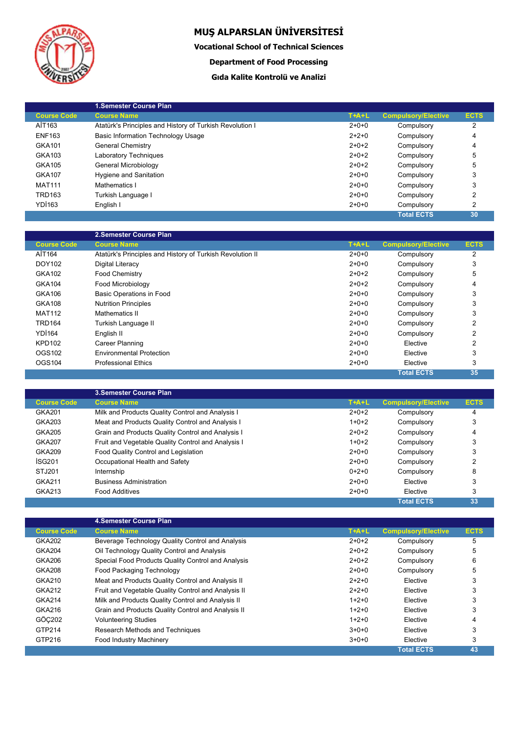

**Vocational School of Technical Sciences**

### **Department of Food Processing**

### **Gıda Kalite Kontrolü ve Analizi**

|                    | 1. Semester Course Plan                                  |         |                            |             |
|--------------------|----------------------------------------------------------|---------|----------------------------|-------------|
| <b>Course Code</b> | <b>Course Name</b>                                       | $T+A+L$ | <b>Compulsory/Elective</b> | <b>ECTS</b> |
| AİT163             | Atatürk's Principles and History of Turkish Revolution I | $2+0+0$ | Compulsory                 | 2           |
| <b>ENF163</b>      | <b>Basic Information Technology Usage</b>                | $2+2+0$ | Compulsory                 | 4           |
| GKA101             | General Chemistry                                        | $2+0+2$ | Compulsory                 | 4           |
| GKA103             | <b>Laboratory Techniques</b>                             | $2+0+2$ | Compulsory                 | 5           |
| GKA105             | General Microbiology                                     | $2+0+2$ | Compulsory                 | 5           |
| GKA107             | Hygiene and Sanitation                                   | $2+0+0$ | Compulsory                 | 3           |
| <b>MAT111</b>      | Mathematics I                                            | $2+0+0$ | Compulsory                 | 3           |
| <b>TRD163</b>      | Turkish Language I                                       | $2+0+0$ | Compulsory                 | 2           |
| YDI <sub>163</sub> | English I                                                | $2+0+0$ | Compulsory                 | 2           |
|                    |                                                          |         | <b>Total ECTS</b>          | 30          |

|                    | 2.Semester Course Plan                                    |         |                            |                |
|--------------------|-----------------------------------------------------------|---------|----------------------------|----------------|
| <b>Course Code</b> | <b>Course Name</b>                                        | $T+A+L$ | <b>Compulsory/Elective</b> | <b>ECTS</b>    |
| AİT164             | Atatürk's Principles and History of Turkish Revolution II | $2+0+0$ | Compulsory                 | 2              |
| DOY102             | Digital Literacy                                          | $2+0+0$ | Compulsory                 | 3              |
| GKA102             | <b>Food Chemistry</b>                                     | $2+0+2$ | Compulsory                 | 5              |
| <b>GKA104</b>      | Food Microbiology                                         | $2+0+2$ | Compulsory                 | 4              |
| <b>GKA106</b>      | Basic Operations in Food                                  | $2+0+0$ | Compulsory                 | 3              |
| <b>GKA108</b>      | <b>Nutrition Principles</b>                               | $2+0+0$ | Compulsory                 | 3              |
| <b>MAT112</b>      | Mathematics II                                            | $2+0+0$ | Compulsory                 | 3              |
| <b>TRD164</b>      | Turkish Language II                                       | $2+0+0$ | Compulsory                 | 2              |
| <b>YD1164</b>      | English II                                                | $2+0+0$ | Compulsory                 | 2              |
| <b>KPD102</b>      | <b>Career Planning</b>                                    | $2+0+0$ | Elective                   | $\mathfrak{p}$ |
| OGS102             | <b>Environmental Protection</b>                           | $2+0+0$ | Elective                   | 3              |
| OGS104             | <b>Professional Ethics</b>                                | $2+0+0$ | Elective                   | 3              |
|                    |                                                           |         | <b>Total ECTS</b>          | 35             |

|                    | <b>3. Semester Course Plan</b>                     |         |                            |             |
|--------------------|----------------------------------------------------|---------|----------------------------|-------------|
| <b>Course Code</b> | <b>Course Name</b>                                 | $T+A+L$ | <b>Compulsory/Elective</b> | <b>ECTS</b> |
| GKA201             | Milk and Products Quality Control and Analysis I   | $2+0+2$ | Compulsory                 | 4           |
| GKA203             | Meat and Products Quality Control and Analysis I   | $1+0+2$ | Compulsory                 | 3           |
| <b>GKA205</b>      | Grain and Products Quality Control and Analysis I  | $2+0+2$ | Compulsory                 | 4           |
| <b>GKA207</b>      | Fruit and Vegetable Quality Control and Analysis I | $1+0+2$ | Compulsory                 | 3           |
| GKA209             | Food Quality Control and Legislation               | $2+0+0$ | Compulsory                 | 3           |
| İSG201             | Occupational Health and Safety                     | $2+0+0$ | Compulsory                 | 2           |
| STJ201             | Internship                                         | $0+2+0$ | Compulsory                 | 8           |
| <b>GKA211</b>      | <b>Business Administration</b>                     | $2+0+0$ | Elective                   | 3           |
| GKA213             | <b>Food Additives</b>                              | $2+0+0$ | Elective                   | 3           |
|                    |                                                    |         | <b>Total ECTS</b>          | 33          |

|                    | 4. Semester Course Plan                             |         |                            |             |
|--------------------|-----------------------------------------------------|---------|----------------------------|-------------|
| <b>Course Code</b> | <b>Course Name</b>                                  | $T+A+L$ | <b>Compulsory/Elective</b> | <b>ECTS</b> |
| GKA202             | Beverage Technology Quality Control and Analysis    | $2+0+2$ | Compulsory                 | 5           |
| <b>GKA204</b>      | Oil Technology Quality Control and Analysis         | $2+0+2$ | Compulsory                 | 5           |
| GKA206             | Special Food Products Quality Control and Analysis  | $2+0+2$ | Compulsory                 | 6           |
| GKA208             | Food Packaging Technology                           | $2+0+0$ | Compulsory                 | 5           |
| GKA210             | Meat and Products Quality Control and Analysis II   | $2+2+0$ | Elective                   | 3           |
| GKA212             | Fruit and Vegetable Quality Control and Analysis II | $2+2+0$ | Elective                   | 3           |
| <b>GKA214</b>      | Milk and Products Quality Control and Analysis II   | $1+2+0$ | Elective                   | 3           |
| GKA216             | Grain and Products Quality Control and Analysis II  | $1+2+0$ | Elective                   | 3           |
| GÖC202             | <b>Volunteering Studies</b>                         | $1+2+0$ | Elective                   | 4           |
| GTP214             | Research Methods and Techniques                     | $3+0+0$ | Elective                   | 3           |
| GTP216             | Food Industry Machinery                             | $3+0+0$ | Elective                   | 3           |
|                    |                                                     |         | <b>Total ECTS</b>          | 43          |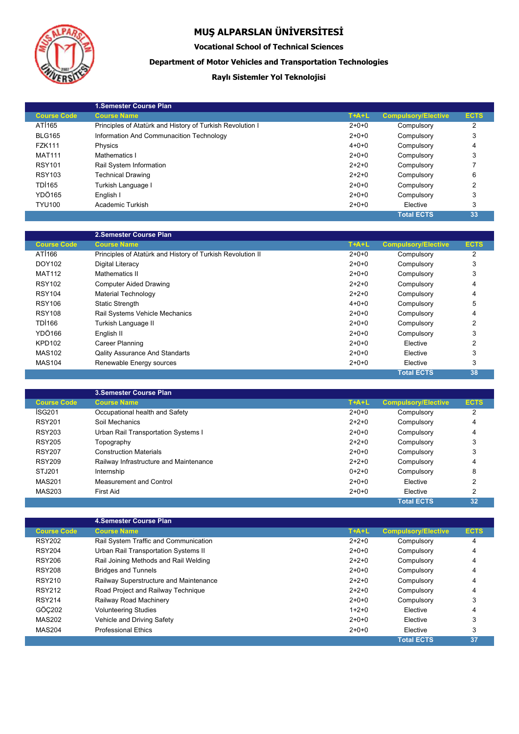

### **Vocational School of Technical Sciences**

### **Department of Motor Vehicles and Transportation Technologies**

### **Raylı Sistemler Yol Teknolojisi**

|                    | <b>1.Semester Course Plan</b>                             |             |                            |             |
|--------------------|-----------------------------------------------------------|-------------|----------------------------|-------------|
|                    |                                                           |             |                            |             |
| <b>Course Code</b> | <b>Course Name</b>                                        | $T+A+L$     | <b>Compulsory/Elective</b> | <b>ECTS</b> |
| ATI <sub>165</sub> | Principles of Atatürk and History of Turkish Revolution I | $2 + 0 + 0$ | Compulsory                 | 2           |
| <b>BLG165</b>      | Information And Communacition Technology                  | $2+0+0$     | Compulsory                 | 3           |
| <b>FZK111</b>      | Physics                                                   | $4 + 0 + 0$ | Compulsory                 | 4           |
| <b>MAT111</b>      | Mathematics I                                             | $2+0+0$     | Compulsory                 | 3           |
| <b>RSY101</b>      | Rail System Information                                   | $2+2+0$     | Compulsory                 |             |
| <b>RSY103</b>      | <b>Technical Drawing</b>                                  | $2+2+0$     | Compulsory                 | 6           |
| <b>TDI165</b>      | Turkish Language I                                        | $2+0+0$     | Compulsory                 | 2           |
| YDÖ165             | English I                                                 | $2+0+0$     | Compulsory                 | 3           |
| <b>TYU100</b>      | Academic Turkish                                          | $2+0+0$     | Elective                   | 3           |
|                    |                                                           |             | <b>Total ECTS</b>          | 33          |

|                    | 2. Semester Course Plan                                    |             |                            |                |
|--------------------|------------------------------------------------------------|-------------|----------------------------|----------------|
| <b>Course Code</b> | <b>Course Name</b>                                         | $T+A+L$     | <b>Compulsory/Elective</b> | <b>ECTS</b>    |
| ATI <sub>166</sub> | Principles of Atatürk and History of Turkish Revolution II | $2+0+0$     | Compulsory                 | 2              |
| DOY102             | Digital Literacy                                           | $2+0+0$     | Compulsory                 | 3              |
| <b>MAT112</b>      | Mathematics II                                             | $2+0+0$     | Compulsory                 | 3              |
| <b>RSY102</b>      | <b>Computer Aided Drawing</b>                              | $2+2+0$     | Compulsory                 | 4              |
| <b>RSY104</b>      | Material Technology                                        | $2+2+0$     | Compulsory                 | 4              |
| <b>RSY106</b>      | <b>Static Strength</b>                                     | $4 + 0 + 0$ | Compulsory                 | 5              |
| <b>RSY108</b>      | Rail Systems Vehicle Mechanics                             | $2+0+0$     | Compulsory                 | 4              |
| TDI166             | Turkish Language II                                        | $2+0+0$     | Compulsory                 | 2              |
| YDÖ166             | English II                                                 | $2+0+0$     | Compulsory                 | 3              |
| <b>KPD102</b>      | Career Planning                                            | $2+0+0$     | Elective                   | $\overline{2}$ |
| <b>MAS102</b>      | <b>Qality Assurance And Standarts</b>                      | $2+0+0$     | Elective                   | 3              |
| <b>MAS104</b>      | Renewable Energy sources                                   | $2+0+0$     | Elective                   | 3              |
|                    |                                                            |             | <b>Total ECTS</b>          | 38             |

|                    | <b>3. Semester Course Plan</b>         |         |                            |                |  |
|--------------------|----------------------------------------|---------|----------------------------|----------------|--|
| <b>Course Code</b> | <b>Course Name</b>                     | $T+A+L$ | <b>Compulsory/Elective</b> | <b>ECTS</b>    |  |
| ISG201             | Occupational health and Safety         | $2+0+0$ | Compulsory                 | $\overline{2}$ |  |
| <b>RSY201</b>      | Soil Mechanics                         | $2+2+0$ | Compulsory                 | 4              |  |
| <b>RSY203</b>      | Urban Rail Transportation Systems I    | $2+0+0$ | Compulsory                 | 4              |  |
| <b>RSY205</b>      | Topography                             | $2+2+0$ | Compulsory                 | 3              |  |
| <b>RSY207</b>      | <b>Construction Materials</b>          | $2+0+0$ | Compulsory                 | 3              |  |
| <b>RSY209</b>      | Railway Infrastructure and Maintenance | $2+2+0$ | Compulsory                 | 4              |  |
| STJ201             | Internship                             | $0+2+0$ | Compulsory                 | 8              |  |
| <b>MAS201</b>      | Measurement and Control                | $2+0+0$ | Elective                   | 2              |  |
| MAS203             | First Aid                              | $2+0+0$ | Elective                   | 2              |  |
|                    |                                        |         | <b>Total ECTS</b>          | 32             |  |

|                    | 4. Semester Course Plan                |         |                            |             |
|--------------------|----------------------------------------|---------|----------------------------|-------------|
| <b>Course Code</b> | <b>Course Name</b>                     | $T+A+L$ | <b>Compulsory/Elective</b> | <b>ECTS</b> |
| <b>RSY202</b>      | Rail System Traffic and Communication  | $2+2+0$ | Compulsory                 | 4           |
| <b>RSY204</b>      | Urban Rail Transportation Systems II   | $2+0+0$ | Compulsory                 | 4           |
| <b>RSY206</b>      | Rail Joining Methods and Rail Welding  | $2+2+0$ | Compulsory                 | 4           |
| <b>RSY208</b>      | <b>Bridges and Tunnels</b>             | $2+0+0$ | Compulsory                 | 4           |
| <b>RSY210</b>      | Railway Superstructure and Maintenance | $2+2+0$ | Compulsory                 | 4           |
| <b>RSY212</b>      | Road Project and Railway Technique     | $2+2+0$ | Compulsory                 | 4           |
| <b>RSY214</b>      | Railway Road Machinery                 | $2+0+0$ | Compulsory                 | 3           |
| GÖC202             | <b>Volunteering Studies</b>            | $1+2+0$ | Elective                   | 4           |
| <b>MAS202</b>      | Vehicle and Driving Safety             | $2+0+0$ | Elective                   | 3           |
| <b>MAS204</b>      | <b>Professional Ethics</b>             | $2+0+0$ | Elective                   | 3           |
|                    |                                        |         | <b>Total ECTS</b>          | 37          |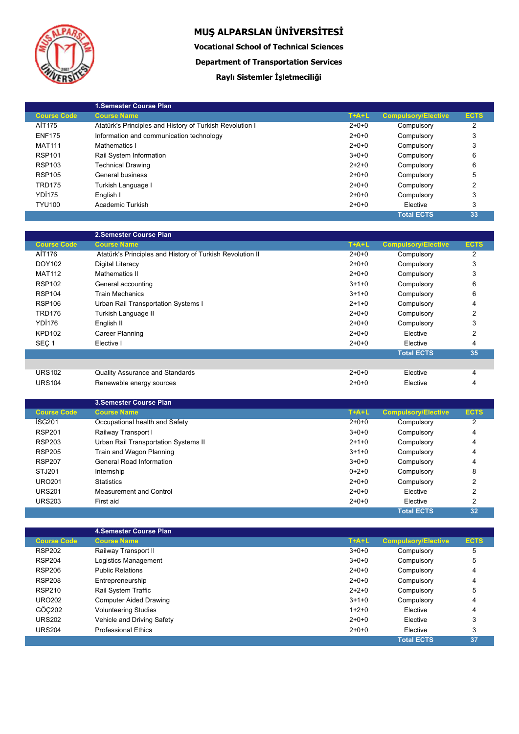

**Vocational School of Technical Sciences**

**Department of Transportation Services**

## **Raylı Sistemler İşletmeciliği**

|                    | <b>1.Semester Course Plan</b>                            |         |                            |             |
|--------------------|----------------------------------------------------------|---------|----------------------------|-------------|
| <b>Course Code</b> | <b>Course Name</b>                                       | $T+A+L$ | <b>Compulsory/Elective</b> | <b>ECTS</b> |
| AİT175             | Atatürk's Principles and History of Turkish Revolution I | $2+0+0$ | Compulsory                 | 2           |
| <b>ENF175</b>      | Information and communication technology                 | $2+0+0$ | Compulsory                 | 3           |
| <b>MAT111</b>      | Mathematics I                                            | $2+0+0$ | Compulsory                 | 3           |
| <b>RSP101</b>      | Rail System Information                                  | $3+0+0$ | Compulsory                 | 6           |
| <b>RSP103</b>      | <b>Technical Drawing</b>                                 | $2+2+0$ | Compulsory                 | 6           |
| <b>RSP105</b>      | General business                                         | $2+0+0$ | Compulsory                 | 5           |
| <b>TRD175</b>      | Turkish Language I                                       | $2+0+0$ | Compulsory                 | 2           |
| YDI <sub>175</sub> | English I                                                | $2+0+0$ | Compulsory                 | 3           |
| <b>TYU100</b>      | Academic Turkish                                         | $2+0+0$ | Elective                   | 3           |
|                    |                                                          |         | <b>Total ECTS</b>          | 33          |

|                    | 2.Semester Course Plan                                    |         |                            |                |
|--------------------|-----------------------------------------------------------|---------|----------------------------|----------------|
| <b>Course Code</b> | <b>Course Name</b>                                        | $T+A+L$ | <b>Compulsory/Elective</b> | <b>ECTS</b>    |
| AİT176             | Atatürk's Principles and History of Turkish Revolution II | $2+0+0$ | Compulsory                 | 2              |
| DOY102             | Digital Literacy                                          | $2+0+0$ | Compulsory                 | 3              |
| <b>MAT112</b>      | Mathematics II                                            | $2+0+0$ | Compulsory                 | 3              |
| <b>RSP102</b>      | General accounting                                        | $3+1+0$ | Compulsory                 | 6              |
| <b>RSP104</b>      | <b>Train Mechanics</b>                                    | $3+1+0$ | Compulsory                 | 6              |
| <b>RSP106</b>      | Urban Rail Transportation Systems I                       | $2+1+0$ | Compulsory                 | 4              |
| <b>TRD176</b>      | Turkish Language II                                       | $2+0+0$ | Compulsory                 | $\overline{2}$ |
| YDI176             | English II                                                | $2+0+0$ | Compulsory                 | 3              |
| <b>KPD102</b>      | Career Planning                                           | $2+0+0$ | Elective                   | $\mathfrak{p}$ |
| SEÇ <sub>1</sub>   | Elective I                                                | $2+0+0$ | Elective                   | 4              |
|                    |                                                           |         | <b>Total ECTS</b>          | 35             |
|                    |                                                           |         |                            |                |
| <b>URS102</b>      | <b>Quality Assurance and Standards</b>                    | $2+0+0$ | Elective                   | 4              |
| <b>URS104</b>      | Renewable energy sources                                  | $2+0+0$ | Elective                   | 4              |

|                    | 3. Semester Course Plan              |         |                            |             |
|--------------------|--------------------------------------|---------|----------------------------|-------------|
| <b>Course Code</b> | <b>Course Name</b>                   | $T+A+L$ | <b>Compulsory/Elective</b> | <b>ECTS</b> |
| ISG201             | Occupational health and Safety       | $2+0+0$ | Compulsory                 | 2           |
| <b>RSP201</b>      | Railway Transport I                  | $3+0+0$ | Compulsory                 | 4           |
| <b>RSP203</b>      | Urban Rail Transportation Systems II | $2+1+0$ | Compulsory                 | 4           |
| <b>RSP205</b>      | Train and Wagon Planning             | $3+1+0$ | Compulsory                 | 4           |
| <b>RSP207</b>      | General Road Information             | $3+0+0$ | Compulsory                 | 4           |
| STJ201             | Internship                           | $0+2+0$ | Compulsory                 | 8           |
| <b>URO201</b>      | <b>Statistics</b>                    | $2+0+0$ | Compulsory                 | 2           |
| <b>URS201</b>      | Measurement and Control              | $2+0+0$ | Elective                   | 2           |
| <b>URS203</b>      | First aid                            | $2+0+0$ | Elective                   | 2           |
|                    |                                      |         | <b>Total ECTS</b>          | 32          |

|                    | <b>4.Semester Course Plan</b> |         |                            |             |
|--------------------|-------------------------------|---------|----------------------------|-------------|
| <b>Course Code</b> | <b>Course Name</b>            | $T+A+L$ | <b>Compulsory/Elective</b> | <b>ECTS</b> |
| <b>RSP202</b>      | Railway Transport II          | $3+0+0$ | Compulsory                 | 5           |
| <b>RSP204</b>      | Logistics Management          | $3+0+0$ | Compulsory                 | 5           |
| <b>RSP206</b>      | <b>Public Relations</b>       | $2+0+0$ | Compulsory                 | 4           |
| <b>RSP208</b>      | Entrepreneurship              | $2+0+0$ | Compulsory                 | 4           |
| <b>RSP210</b>      | <b>Rail System Traffic</b>    | $2+2+0$ | Compulsory                 | 5           |
| <b>URO202</b>      | Computer Aided Drawing        | $3+1+0$ | Compulsory                 | 4           |
| GÖC202             | <b>Volunteering Studies</b>   | $1+2+0$ | Elective                   | 4           |
| <b>URS202</b>      | Vehicle and Driving Safety    | $2+0+0$ | Elective                   | 3           |
| <b>URS204</b>      | <b>Professional Ethics</b>    | $2+0+0$ | Elective                   | 3           |
|                    |                               |         | <b>Total ECTS</b>          | 37          |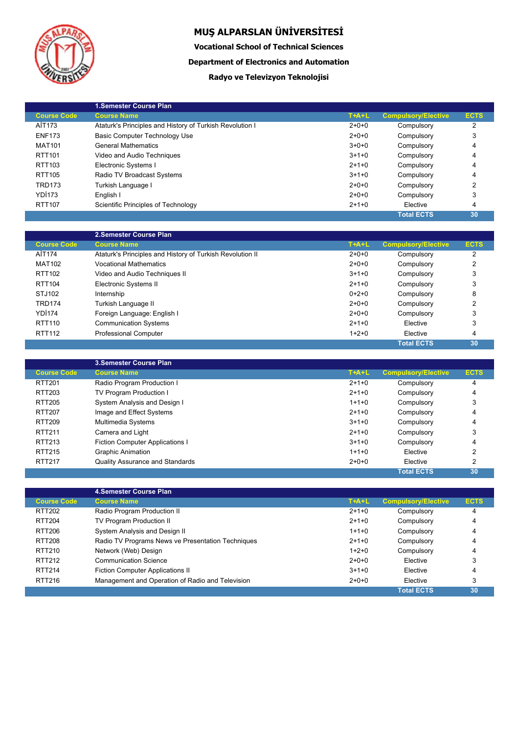

Ļ

# **MUŞ ALPARSLAN ÜNİVERSİTESİ**

**Vocational School of Technical Sciences**

**Department of Electronics and Automation**

### **Radyo ve Televizyon Teknolojisi**

|                    | 1.Semester Course Plan                                   |         |                            |             |
|--------------------|----------------------------------------------------------|---------|----------------------------|-------------|
| <b>Course Code</b> | <b>Course Name</b>                                       | $T+A+L$ | <b>Compulsory/Elective</b> | <b>ECTS</b> |
| AİT173             | Ataturk's Principles and History of Turkish Revolution I | $2+0+0$ | Compulsory                 | 2           |
| <b>ENF173</b>      | Basic Computer Technology Use                            | $2+0+0$ | Compulsory                 | 3           |
| <b>MAT101</b>      | <b>General Mathematics</b>                               | $3+0+0$ | Compulsory                 | 4           |
| RTT101             | Video and Audio Techniques                               | $3+1+0$ | Compulsory                 | 4           |
| RTT103             | Electronic Systems I                                     | $2+1+0$ | Compulsory                 | 4           |
| RTT105             | Radio TV Broadcast Systems                               | $3+1+0$ | Compulsory                 | 4           |
| <b>TRD173</b>      | Turkish Language I                                       | $2+0+0$ | Compulsory                 | 2           |
| YDI173             | English I                                                | $2+0+0$ | Compulsory                 | 3           |
| <b>RTT107</b>      | Scientific Principles of Technology                      | $2+1+0$ | Elective                   | 4           |
|                    |                                                          |         | <b>Total ECTS</b>          | 30          |

|                    | 2. Semester Course Plan                                   |             |                            |             |
|--------------------|-----------------------------------------------------------|-------------|----------------------------|-------------|
| <b>Course Code</b> | <b>Course Name</b>                                        | $T+A+L$     | <b>Compulsory/Elective</b> | <b>ECTS</b> |
| AİT174             | Ataturk's Principles and History of Turkish Revolution II | $2 + 0 + 0$ | Compulsory                 | 2           |
| <b>MAT102</b>      | <b>Vocational Mathematics</b>                             | $2+0+0$     | Compulsory                 | 2           |
| RTT102             | Video and Audio Techniques II                             | $3+1+0$     | Compulsory                 | 3           |
| RTT104             | Electronic Systems II                                     | $2+1+0$     | Compulsory                 | 3           |
| STJ102             | Internship                                                | $0+2+0$     | Compulsory                 | 8           |
| <b>TRD174</b>      | Turkish Language II                                       | $2+0+0$     | Compulsory                 | 2           |
| YDI <sub>174</sub> | Foreign Language: English I                               | $2+0+0$     | Compulsory                 | 3           |
| RTT110             | <b>Communication Systems</b>                              | $2+1+0$     | Elective                   | 3           |
| RTT112             | <b>Professional Computer</b>                              | $1+2+0$     | Elective                   | 4           |
|                    |                                                           |             | <b>Total ECTS</b>          | 30          |

|                    | <b>3. Semester Course Plan</b>         |         |                            |             |
|--------------------|----------------------------------------|---------|----------------------------|-------------|
| <b>Course Code</b> | <b>Course Name</b>                     | $T+A+L$ | <b>Compulsory/Elective</b> | <b>ECTS</b> |
| RTT201             | Radio Program Production I             | $2+1+0$ | Compulsory                 | 4           |
| RTT203             | TV Program Production I                | $2+1+0$ | Compulsory                 | 4           |
| RTT205             | System Analysis and Design I           | $1+1+0$ | Compulsory                 | 3           |
| <b>RTT207</b>      | Image and Effect Systems               | $2+1+0$ | Compulsory                 | 4           |
| RTT209             | Multimedia Systems                     | $3+1+0$ | Compulsory                 | 4           |
| <b>RTT211</b>      | Camera and Light                       | $2+1+0$ | Compulsory                 | 3           |
| RTT213             | <b>Fiction Computer Applications I</b> | $3+1+0$ | Compulsory                 | 4           |
| RTT215             | <b>Graphic Animation</b>               | $1+1+0$ | Elective                   | 2           |
| <b>RTT217</b>      | <b>Quality Assurance and Standards</b> | $2+0+0$ | Elective                   | 2           |
|                    |                                        |         | <b>Total ECTS</b>          | 30          |

|                    | <b>4.Semester Course Plan</b>                     |         |                            |             |  |
|--------------------|---------------------------------------------------|---------|----------------------------|-------------|--|
| <b>Course Code</b> | <b>Course Name</b>                                | $T+A+L$ | <b>Compulsory/Elective</b> | <b>ECTS</b> |  |
| RTT202             | Radio Program Production II                       | $2+1+0$ | Compulsory                 | 4           |  |
| <b>RTT204</b>      | TV Program Production II                          | $2+1+0$ | Compulsory                 | 4           |  |
| <b>RTT206</b>      | System Analysis and Design II                     | $1+1+0$ | Compulsory                 | 4           |  |
| RTT208             | Radio TV Programs News ve Presentation Techniques | $2+1+0$ | Compulsory                 | 4           |  |
| RTT210             | Network (Web) Design                              | $1+2+0$ | Compulsory                 | 4           |  |
| RTT212             | <b>Communication Science</b>                      | $2+0+0$ | Elective                   | 3           |  |
| <b>RTT214</b>      | <b>Fiction Computer Applications II</b>           | $3+1+0$ | Elective                   | 4           |  |
| RTT216             | Management and Operation of Radio and Television  | $2+0+0$ | Elective                   | 3           |  |
|                    |                                                   |         | <b>Total ECTS</b>          | 30          |  |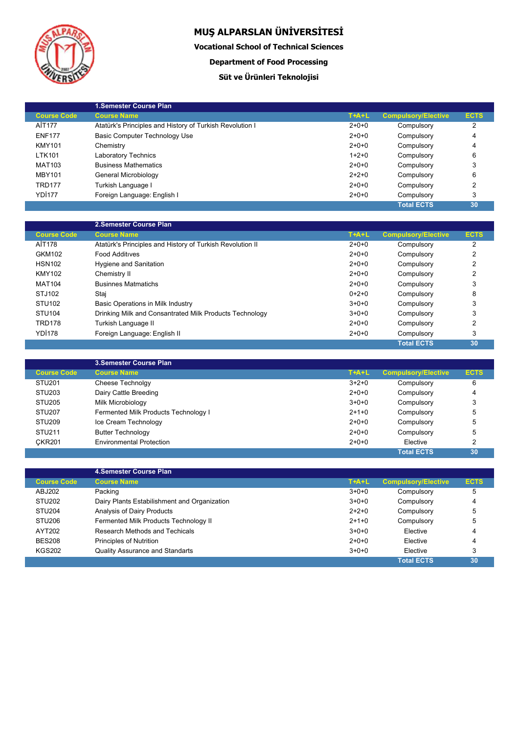

Ļ

# **MUŞ ALPARSLAN ÜNİVERSİTESİ**

**Vocational School of Technical Sciences**

**Department of Food Processing**

## **Süt ve Ürünleri Teknolojisi**

|                    | <b>1.Semester Course Plan</b>                            |         |                            |             |
|--------------------|----------------------------------------------------------|---------|----------------------------|-------------|
| <b>Course Code</b> | <b>Course Name</b>                                       | $T+A+L$ | <b>Compulsory/Elective</b> | <b>ECTS</b> |
| AİT177             | Atatürk's Principles and History of Turkish Revolution I | $2+0+0$ | Compulsory                 | 2           |
| <b>ENF177</b>      | Basic Computer Technology Use                            | $2+0+0$ | Compulsory                 | 4           |
| <b>KMY101</b>      | Chemistry                                                | $2+0+0$ | Compulsory                 | 4           |
| <b>LTK101</b>      | Laboratory Technics                                      | $1+2+0$ | Compulsory                 | 6           |
| <b>MAT103</b>      | <b>Business Mathematics</b>                              | $2+0+0$ | Compulsory                 | 3           |
| <b>MBY101</b>      | General Microbiology                                     | $2+2+0$ | Compulsory                 | 6           |
| <b>TRD177</b>      | Turkish Language I                                       | $2+0+0$ | Compulsory                 | 2           |
| YDI <sub>177</sub> | Foreign Language: English I                              | $2+0+0$ | Compulsory                 | 3           |
|                    |                                                          |         | <b>Total ECTS</b>          | 30          |

|                    | 2.Semester Course Plan                                    |         |                            |             |
|--------------------|-----------------------------------------------------------|---------|----------------------------|-------------|
| <b>Course Code</b> | <b>Course Name</b>                                        | $T+A+L$ | <b>Compulsory/Elective</b> | <b>ECTS</b> |
| AİT178             | Atatürk's Principles and History of Turkish Revolution II | $2+0+0$ | Compulsory                 | 2           |
| GKM102             | Food Additives                                            | $2+0+0$ | Compulsory                 | 2           |
| <b>HSN102</b>      | Hygiene and Sanitation                                    | $2+0+0$ | Compulsory                 | 2           |
| <b>KMY102</b>      | Chemistry II                                              | $2+0+0$ | Compulsory                 | 2           |
| <b>MAT104</b>      | <b>Businnes Matmatichs</b>                                | $2+0+0$ | Compulsory                 | 3           |
| STJ102             | Stai                                                      | $0+2+0$ | Compulsory                 | 8           |
| STU <sub>102</sub> | Basic Operations in Milk Industry                         | $3+0+0$ | Compulsory                 | 3           |
| <b>STU104</b>      | Drinking Milk and Consantrated Milk Products Technology   | $3+0+0$ | Compulsory                 | 3           |
| <b>TRD178</b>      | Turkish Language II                                       | $2+0+0$ | Compulsory                 | 2           |
| <b>YD1178</b>      | Foreign Language: English II                              | $2+0+0$ | Compulsory                 | 3           |
|                    |                                                           |         | <b>Total ECTS</b>          | 30          |

|                    | <b>3.Semester Course Plan</b>        |             |                            |               |
|--------------------|--------------------------------------|-------------|----------------------------|---------------|
| <b>Course Code</b> | <b>Course Name</b>                   | $T+A+L$     | <b>Compulsory/Elective</b> | <b>ECTS</b>   |
| STU <sub>201</sub> | Cheese Technolgy                     | $3 + 2 + 0$ | Compulsory                 | 6             |
| STU <sub>203</sub> | Dairy Cattle Breeding                | $2+0+0$     | Compulsory                 | 4             |
| STU <sub>205</sub> | Milk Microbiology                    | $3+0+0$     | Compulsory                 | 3             |
| STU <sub>207</sub> | Fermented Milk Products Technology I | $2+1+0$     | Compulsory                 | 5             |
| STU <sub>209</sub> | Ice Cream Technology                 | $2+0+0$     | Compulsory                 | 5             |
| STU211             | <b>Butter Technology</b>             | $2+0+0$     | Compulsory                 | 5             |
| <b>CKR201</b>      | <b>Environmental Protection</b>      | $2+0+0$     | Elective                   | $\mathcal{P}$ |
|                    |                                      |             | <b>Total ECTS</b>          | 30            |

|                    | <b>4.Semester Course Plan</b>                |         |                            |             |
|--------------------|----------------------------------------------|---------|----------------------------|-------------|
| <b>Course Code</b> | <b>Course Name</b>                           | $T+A+L$ | <b>Compulsory/Elective</b> | <b>ECTS</b> |
| ABJ202             | Packing                                      | $3+0+0$ | Compulsory                 | 5           |
| <b>STU202</b>      | Dairy Plants Estabilishment and Organization | $3+0+0$ | Compulsory                 | 4           |
| STU <sub>204</sub> | Analysis of Dairy Products                   | $2+2+0$ | Compulsory                 | 5           |
| STU <sub>206</sub> | Fermented Milk Products Technology II        | $2+1+0$ | Compulsory                 | 5           |
| AYT202             | Research Methods and Techicals               | $3+0+0$ | Elective                   | 4           |
| <b>BES208</b>      | <b>Principles of Nutrition</b>               | $2+0+0$ | Elective                   | 4           |
| <b>KGS202</b>      | <b>Quality Assurance and Standarts</b>       | $3+0+0$ | Elective                   | 3           |
|                    |                                              |         | <b>Total ECTS</b>          | 30          |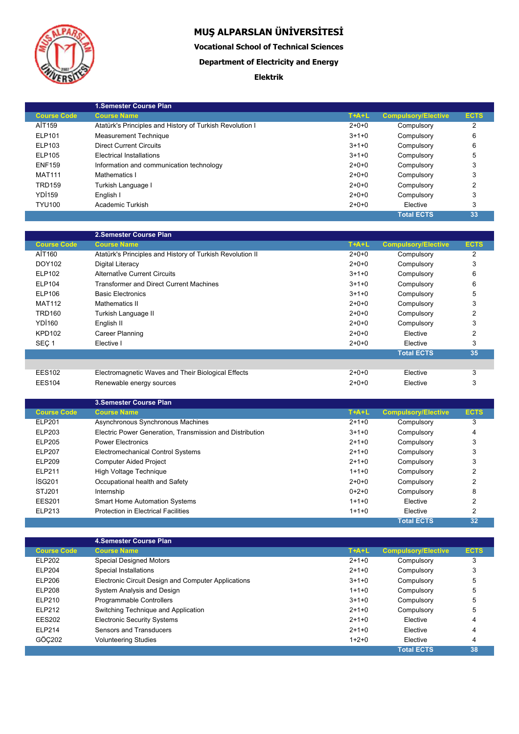

I

# **MUŞ ALPARSLAN ÜNİVERSİTESİ**

**Vocational School of Technical Sciences**

**Department of Electricity and Energy**

### **Elektrik**

|                    | 1. Semester Course Plan                                  |         |                            |             |
|--------------------|----------------------------------------------------------|---------|----------------------------|-------------|
| <b>Course Code</b> | <b>Course Name</b>                                       | $T+A+L$ | <b>Compulsory/Elective</b> | <b>ECTS</b> |
| AİT159             | Atatürk's Principles and History of Turkish Revolution I | $2+0+0$ | Compulsory                 | 2           |
| ELP101             | <b>Measurement Technique</b>                             | $3+1+0$ | Compulsory                 | 6           |
| ELP103             | <b>Direct Current Circuits</b>                           | $3+1+0$ | Compulsory                 | 6           |
| ELP105             | <b>Electrical Installations</b>                          | $3+1+0$ | Compulsory                 | 5           |
| <b>ENF159</b>      | Information and communication technology                 | $2+0+0$ | Compulsory                 | 3           |
| <b>MAT111</b>      | Mathematics I                                            | $2+0+0$ | Compulsory                 | 3           |
| <b>TRD159</b>      | Turkish Language I                                       | $2+0+0$ | Compulsory                 | 2           |
| <b>YD1159</b>      | English I                                                | $2+0+0$ | Compulsory                 | 3           |
| <b>TYU100</b>      | Academic Turkish                                         | $2+0+0$ | Elective                   | 3           |
|                    |                                                          |         | <b>Total ECTS</b>          | 33          |

|                    | 2. Semester Course Plan                                   |         |                            |             |
|--------------------|-----------------------------------------------------------|---------|----------------------------|-------------|
| <b>Course Code</b> | <b>Course Name</b>                                        | $T+A+L$ | <b>Compulsory/Elective</b> | <b>ECTS</b> |
| AİT160             | Atatürk's Principles and History of Turkish Revolution II | $2+0+0$ | Compulsory                 | 2           |
| DOY102             | Digital Literacy                                          | $2+0+0$ | Compulsory                 | 3           |
| <b>ELP102</b>      | Alternative Current Circuits                              | $3+1+0$ | Compulsory                 | 6           |
| <b>ELP104</b>      | <b>Transformer and Direct Current Machines</b>            | $3+1+0$ | Compulsory                 | 6           |
| ELP106             | <b>Basic Electronics</b>                                  | $3+1+0$ | Compulsory                 | 5           |
| <b>MAT112</b>      | Mathematics II                                            | $2+0+0$ | Compulsory                 | 3           |
| <b>TRD160</b>      | Turkish Language II                                       | $2+0+0$ | Compulsory                 | 2           |
| <b>YD1160</b>      | English II                                                | $2+0+0$ | Compulsory                 | 3           |
| <b>KPD102</b>      | Career Planning                                           | $2+0+0$ | Elective                   | 2           |
| SEC <sub>1</sub>   | Elective I                                                | $2+0+0$ | Elective                   | 3           |
|                    |                                                           |         | <b>Total ECTS</b>          | 35          |
|                    |                                                           |         |                            |             |
| <b>EES102</b>      | Electromagnetic Waves and Their Biological Effects        | $2+0+0$ | Elective                   | 3           |
| <b>EES104</b>      | Renewable energy sources                                  | $2+0+0$ | Elective                   | 3           |

|                    | <b>3. Semester Course Plan</b>                           |         |                            |             |
|--------------------|----------------------------------------------------------|---------|----------------------------|-------------|
| <b>Course Code</b> | <b>Course Name</b>                                       | $T+A+L$ | <b>Compulsory/Elective</b> | <b>ECTS</b> |
| ELP201             | Asynchronous Synchronous Machines                        | $2+1+0$ | Compulsory                 | 3           |
| ELP203             | Electric Power Generation. Transmission and Distribution | $3+1+0$ | Compulsory                 | 4           |
| <b>ELP205</b>      | <b>Power Electronics</b>                                 | $2+1+0$ | Compulsory                 | 3           |
| <b>ELP207</b>      | Electromechanical Control Systems                        | $2+1+0$ | Compulsory                 | 3           |
| <b>ELP209</b>      | <b>Computer Aided Project</b>                            | $2+1+0$ | Compulsory                 | 3           |
| <b>ELP211</b>      | High Voltage Technique                                   | $1+1+0$ | Compulsory                 | 2           |
| <b>ISG201</b>      | Occupational health and Safety                           | $2+0+0$ | Compulsory                 | 2           |
| STJ201             | Internship                                               | $0+2+0$ | Compulsory                 | 8           |
| <b>EES201</b>      | <b>Smart Home Automation Systems</b>                     | $1+1+0$ | Elective                   | 2           |
| ELP213             | <b>Protection in Electrical Facilities</b>               | $1+1+0$ | Elective                   | 2           |
|                    |                                                          |         | <b>Total ECTS</b>          | 32          |

|                    | 4. Semester Course Plan                             |         |                            |             |
|--------------------|-----------------------------------------------------|---------|----------------------------|-------------|
| <b>Course Code</b> | <b>Course Name</b>                                  | $T+A+L$ | <b>Compulsory/Elective</b> | <b>ECTS</b> |
| <b>ELP202</b>      | <b>Special Designed Motors</b>                      | $2+1+0$ | Compulsory                 | 3           |
| <b>ELP204</b>      | Special Installations                               | $2+1+0$ | Compulsory                 | 3           |
| <b>ELP206</b>      | Electronic Circuit Design and Computer Applications | $3+1+0$ | Compulsory                 | 5           |
| <b>ELP208</b>      | System Analysis and Design                          | $1+1+0$ | Compulsory                 | 5           |
| ELP210             | Programmable Controllers                            | $3+1+0$ | Compulsory                 | 5           |
| <b>ELP212</b>      | Switching Technique and Application                 | $2+1+0$ | Compulsory                 | 5           |
| <b>EES202</b>      | <b>Electronic Security Systems</b>                  | $2+1+0$ | Elective                   | 4           |
| <b>ELP214</b>      | Sensors and Transducers                             | $2+1+0$ | Elective                   | 4           |
| GÖC202             | <b>Volunteering Studies</b>                         | $1+2+0$ | Elective                   | 4           |
|                    |                                                     |         | <b>Total ECTS</b>          | 38          |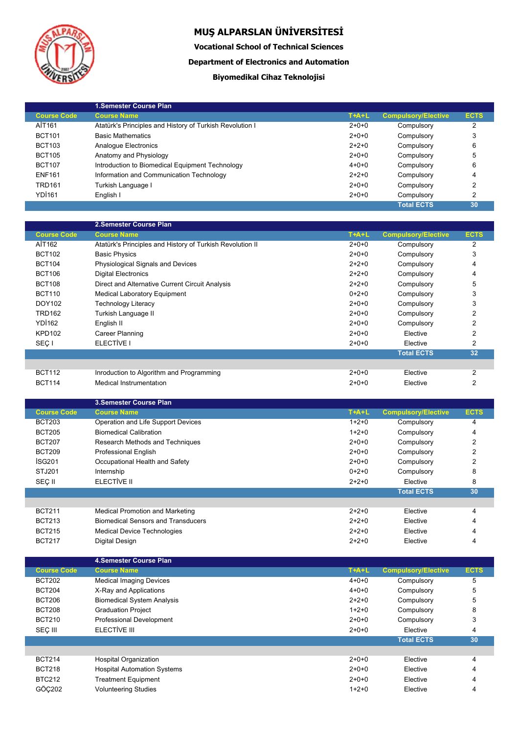

**Vocational School of Technical Sciences**

**Department of Electronics and Automation**

## **Biyomedikal Cihaz Teknolojisi**

|                    | 1. Semester Course Plan                                  |             |                            |             |
|--------------------|----------------------------------------------------------|-------------|----------------------------|-------------|
| <b>Course Code</b> | <b>Course Name</b>                                       | $T+A+L$     | <b>Compulsory/Elective</b> | <b>ECTS</b> |
| AİT161             | Atatürk's Principles and History of Turkish Revolution I | $2+0+0$     | Compulsory                 | 2           |
| <b>BCT101</b>      | <b>Basic Mathematics</b>                                 | $2+0+0$     | Compulsory                 | 3           |
| <b>BCT103</b>      | Analogue Electronics                                     | $2+2+0$     | Compulsory                 | 6           |
| <b>BCT105</b>      | Anatomy and Physiology                                   | $2+0+0$     | Compulsory                 | 5           |
| <b>BCT107</b>      | Introduction to Biomedical Equipment Technology          | $4 + 0 + 0$ | Compulsory                 | 6           |
| <b>ENF161</b>      | Information and Communication Technology                 | $2+2+0$     | Compulsory                 | 4           |
| <b>TRD161</b>      | Turkish Language I                                       | $2+0+0$     | Compulsory                 | 2           |
| <b>YD1161</b>      | English I                                                | $2+0+0$     | Compulsory                 | 2           |
|                    |                                                          |             | <b>Total ECTS</b>          | 30          |

|                    | 2.Semester Course Plan                                    |         |                            |                |
|--------------------|-----------------------------------------------------------|---------|----------------------------|----------------|
| <b>Course Code</b> | <b>Course Name</b>                                        | $T+A+L$ | <b>Compulsory/Elective</b> | <b>ECTS</b>    |
| AİT162             | Atatürk's Principles and History of Turkish Revolution II | $2+0+0$ | Compulsory                 | 2              |
| <b>BCT102</b>      | <b>Basic Physics</b>                                      | $2+0+0$ | Compulsory                 | 3              |
| <b>BCT104</b>      | Physiological Signals and Devices                         | $2+2+0$ | Compulsory                 | 4              |
| <b>BCT106</b>      | <b>Digital Electronics</b>                                | $2+2+0$ | Compulsory                 | 4              |
| <b>BCT108</b>      | Direct and Alternative Current Circuit Analysis           | $2+2+0$ | Compulsory                 | 5              |
| <b>BCT110</b>      | <b>Medical Laboratory Equipment</b>                       | $0+2+0$ | Compulsory                 | 3              |
| DOY102             | <b>Technology Literacy</b>                                | $2+0+0$ | Compulsory                 | 3              |
| <b>TRD162</b>      | Turkish Language II                                       | $2+0+0$ | Compulsory                 | 2              |
| <b>YD1162</b>      | English II                                                | $2+0+0$ | Compulsory                 | 2              |
| <b>KPD102</b>      | Career Planning                                           | $2+0+0$ | Elective                   | $\overline{2}$ |
| SEÇ I              | ELECTIVE I                                                | $2+0+0$ | Elective                   | $\overline{2}$ |
|                    |                                                           |         | <b>Total ECTS</b>          | 32             |
|                    |                                                           |         |                            |                |
| <b>BCT112</b>      | Inroduction to Algorithm and Programming                  | $2+0+0$ | Elective                   | $\overline{2}$ |
| <b>BCT114</b>      | Medical Instrumentation                                   | $2+0+0$ | Elective                   | 2              |

|                    | 3. Semester Course Plan                   |         |                            |             |
|--------------------|-------------------------------------------|---------|----------------------------|-------------|
| <b>Course Code</b> | <b>Course Name</b>                        | $T+A+L$ | <b>Compulsory/Elective</b> | <b>ECTS</b> |
| <b>BCT203</b>      | Operation and Life Support Devices        | $1+2+0$ | Compulsory                 | 4           |
| <b>BCT205</b>      | <b>Biomedical Calibration</b>             | $1+2+0$ | Compulsory                 | 4           |
| <b>BCT207</b>      | Research Methods and Techniques           | $2+0+0$ | Compulsory                 | 2           |
| <b>BCT209</b>      | <b>Professional English</b>               | $2+0+0$ | Compulsory                 | 2           |
| <b>ISG201</b>      | Occupational Health and Safety            | $2+0+0$ | Compulsory                 | 2           |
| STJ201             | Internship                                | $0+2+0$ | Compulsory                 | 8           |
| SEÇ II             | ELECTIVE II                               | $2+2+0$ | Elective                   | 8           |
|                    |                                           |         | <b>Total ECTS</b>          | 30          |
|                    |                                           |         |                            |             |
| <b>BCT211</b>      | Medical Promotion and Marketing           | $2+2+0$ | Elective                   | 4           |
| <b>BCT213</b>      | <b>Biomedical Sensors and Transducers</b> | $2+2+0$ | Elective                   | 4           |
| <b>BCT215</b>      | <b>Medical Device Technologies</b>        | $2+2+0$ | Elective                   | 4           |
| <b>BCT217</b>      | Digital Design                            | $2+2+0$ | Elective                   | 4           |

|                    | 4. Semester Course Plan            |             |                            |             |
|--------------------|------------------------------------|-------------|----------------------------|-------------|
| <b>Course Code</b> | <b>Course Name</b>                 | $T+A+L$     | <b>Compulsory/Elective</b> | <b>ECTS</b> |
| <b>BCT202</b>      | <b>Medical Imaging Devices</b>     | $4 + 0 + 0$ | Compulsory                 | 5           |
| <b>BCT204</b>      | X-Ray and Applications             | $4 + 0 + 0$ | Compulsory                 | 5           |
| <b>BCT206</b>      | <b>Biomedical System Analysis</b>  | $2+2+0$     | Compulsory                 | 5           |
| <b>BCT208</b>      | <b>Graduation Project</b>          | $1+2+0$     | Compulsory                 | 8           |
| <b>BCT210</b>      | Professional Development           | $2+0+0$     | Compulsory                 | 3           |
| SEC III            | ELECTIVE III                       | $2+0+0$     | Elective                   | 4           |
|                    |                                    |             | <b>Total ECTS</b>          | 30          |
|                    |                                    |             |                            |             |
| <b>BCT214</b>      | <b>Hospital Organization</b>       | $2+0+0$     | Elective                   | 4           |
| <b>BCT218</b>      | <b>Hospital Automation Systems</b> | $2+0+0$     | Elective                   | 4           |
| <b>BTC212</b>      | <b>Treatment Equipment</b>         | $2+0+0$     | Elective                   | 4           |
| GÖC202             | <b>Volunteering Studies</b>        | $1+2+0$     | Elective                   | 4           |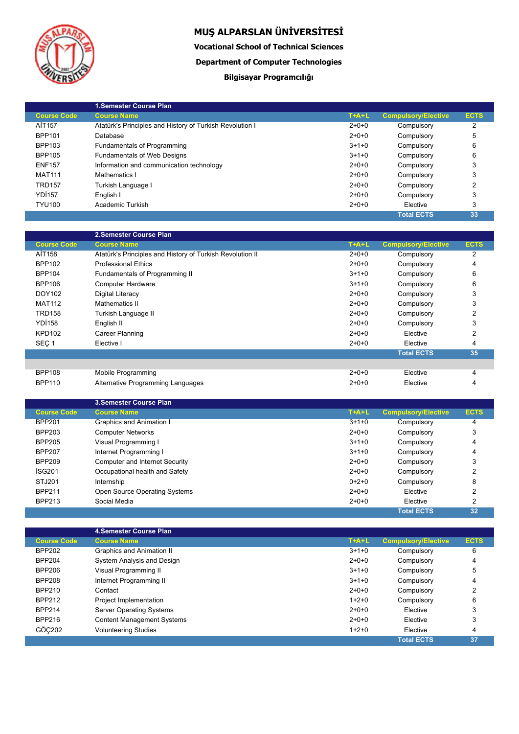

**Vocational School of Technical Sciences**

**Department of Computer Technologies**

## **Bilgisayar Programcılığı**

|                    | <b>1.Semester Course Plan</b>                            |         |                            |             |
|--------------------|----------------------------------------------------------|---------|----------------------------|-------------|
| <b>Course Code</b> | <b>Course Name</b>                                       | $T+A+L$ | <b>Compulsory/Elective</b> | <b>ECTS</b> |
| AİT157             | Atatürk's Principles and History of Turkish Revolution I | $2+0+0$ | Compulsory                 | 2           |
| <b>BPP101</b>      | Database                                                 | $2+0+0$ | Compulsory                 | 5           |
| BPP103             | Fundamentals of Programming                              | $3+1+0$ | Compulsory                 | 6           |
| <b>BPP105</b>      | <b>Fundamentals of Web Designs</b>                       | $3+1+0$ | Compulsory                 | 6           |
| <b>ENF157</b>      | Information and communication technology                 | $2+0+0$ | Compulsory                 |             |
| <b>MAT111</b>      | Mathematics I                                            | $2+0+0$ | Compulsory                 | 3           |
| <b>TRD157</b>      | Turkish Language I                                       | $2+0+0$ | Compulsory                 | 2           |
| <b>YD1157</b>      | English I                                                | $2+0+0$ | Compulsory                 | 3           |
| <b>TYU100</b>      | Academic Turkish                                         | $2+0+0$ | Elective                   | 3           |
|                    |                                                          |         | <b>Total ECTS</b>          | 33          |

|                    | 2. Semester Course Plan                                   |         |                            |                |
|--------------------|-----------------------------------------------------------|---------|----------------------------|----------------|
| <b>Course Code</b> | <b>Course Name</b>                                        | $T+A+L$ | <b>Compulsory/Elective</b> | <b>ECTS</b>    |
| AİT158             | Atatürk's Principles and History of Turkish Revolution II | $2+0+0$ | Compulsory                 | 2              |
| <b>BPP102</b>      | <b>Professional Ethics</b>                                | $2+0+0$ | Compulsory                 | 4              |
| <b>BPP104</b>      | Fundamentals of Programming II                            | $3+1+0$ | Compulsory                 | 6              |
| <b>BPP106</b>      | <b>Computer Hardware</b>                                  | $3+1+0$ | Compulsory                 | 6              |
| DOY102             | Digital Literacy                                          | $2+0+0$ | Compulsory                 | 3              |
| <b>MAT112</b>      | Mathematics II                                            | $2+0+0$ | Compulsory                 | 3              |
| <b>TRD158</b>      | Turkish Language II                                       | $2+0+0$ | Compulsory                 | 2              |
| <b>YD1158</b>      | English II                                                | $2+0+0$ | Compulsory                 | 3              |
| <b>KPD102</b>      | Career Planning                                           | $2+0+0$ | Elective                   | $\overline{2}$ |
| SEÇ <sub>1</sub>   | Elective I                                                | $2+0+0$ | Elective                   | $\overline{4}$ |
|                    |                                                           |         | <b>Total ECTS</b>          | 35             |
|                    |                                                           |         |                            |                |
| <b>BPP108</b>      | Mobile Programming                                        | $2+0+0$ | Elective                   | 4              |
| <b>BPP110</b>      | Alternative Programming Languages                         | $2+0+0$ | Elective                   | 4              |

|                    | <b>3. Semester Course Plan</b>        |         |                            |             |  |
|--------------------|---------------------------------------|---------|----------------------------|-------------|--|
| <b>Course Code</b> | <b>Course Name</b>                    | $T+A+L$ | <b>Compulsory/Elective</b> | <b>ECTS</b> |  |
| <b>BPP201</b>      | Graphics and Animation I              | $3+1+0$ | Compulsory                 | 4           |  |
| <b>BPP203</b>      | <b>Computer Networks</b>              | $2+0+0$ | Compulsory                 | 3           |  |
| <b>BPP205</b>      | Visual Programming I                  | $3+1+0$ | Compulsory                 | 4           |  |
| <b>BPP207</b>      | Internet Programming I                | $3+1+0$ | Compulsory                 | 4           |  |
| <b>BPP209</b>      | <b>Computer and Internet Security</b> | $2+0+0$ | Compulsory                 | 3           |  |
| <b>ISG201</b>      | Occupational health and Safety        | $2+0+0$ | Compulsory                 | 2           |  |
| STJ201             | Internship                            | $0+2+0$ | Compulsory                 | 8           |  |
| <b>BPP211</b>      | Open Source Operating Systems         | $2+0+0$ | Elective                   | 2           |  |
| <b>BPP213</b>      | Social Media                          | $2+0+0$ | Elective                   | 2           |  |
|                    |                                       |         | <b>Total ECTS</b>          | 32          |  |

|                    | <b>4.Semester Course Plan</b>     |         |                            |             |
|--------------------|-----------------------------------|---------|----------------------------|-------------|
| <b>Course Code</b> | <b>Course Name</b>                | $T+A+L$ | <b>Compulsory/Elective</b> | <b>ECTS</b> |
| <b>BPP202</b>      | Graphics and Animation II         | $3+1+0$ | Compulsory                 | 6           |
| <b>BPP204</b>      | System Analysis and Design        | $2+0+0$ | Compulsory                 | 4           |
| <b>BPP206</b>      | Visual Programming II             | $3+1+0$ | Compulsory                 | 5           |
| <b>BPP208</b>      | Internet Programming II           | $3+1+0$ | Compulsory                 | 4           |
| <b>BPP210</b>      | Contact                           | $2+0+0$ | Compulsory                 | 2           |
| <b>BPP212</b>      | Project Implementation            | $1+2+0$ | Compulsory                 | 6           |
| <b>BPP214</b>      | Server Operating Systems          | $2+0+0$ | Elective                   | 3           |
| <b>BPP216</b>      | <b>Content Management Systems</b> | $2+0+0$ | Elective                   | 3           |
| GÖC202             | <b>Volunteering Studies</b>       | $1+2+0$ | Elective                   | 4           |
|                    |                                   |         | <b>Total ECTS</b>          | 37          |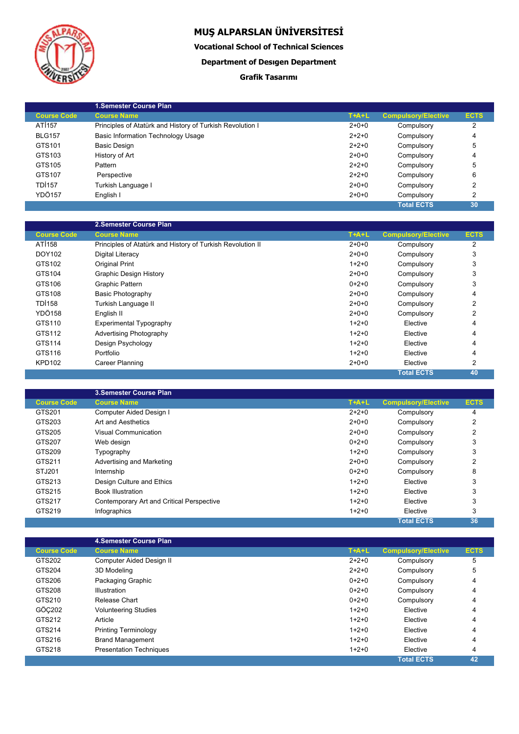

**Vocational School of Technical Sciences**

### **Department of Desıgen Department**

### **Grafik Tasarımı**

|                    | <b>1.Semester Course Plan</b>                             |         |                            |             |
|--------------------|-----------------------------------------------------------|---------|----------------------------|-------------|
| <b>Course Code</b> | <b>Course Name</b>                                        | $T+A+L$ | <b>Compulsory/Elective</b> | <b>ECTS</b> |
| AT1157             | Principles of Atatürk and History of Turkish Revolution I | $2+0+0$ | Compulsory                 | 2           |
| <b>BLG157</b>      | Basic Information Technology Usage                        | $2+2+0$ | Compulsory                 | 4           |
| GTS101             | <b>Basic Design</b>                                       | $2+2+0$ | Compulsory                 | 5           |
| GTS103             | History of Art                                            | $2+0+0$ | Compulsory                 | 4           |
| GTS105             | Pattern                                                   | $2+2+0$ | Compulsory                 | 5           |
| GTS107             | Perspective                                               | $2+2+0$ | Compulsory                 | 6           |
| TDI157             | Turkish Language I                                        | $2+0+0$ | Compulsory                 | 2           |
| YDÖ157             | English I                                                 | $2+0+0$ | Compulsory                 | 2           |
|                    |                                                           |         | <b>Total ECTS</b>          | 30          |

|                    | 2.Semester Course Plan                                     |         |                            |                |
|--------------------|------------------------------------------------------------|---------|----------------------------|----------------|
| <b>Course Code</b> | <b>Course Name</b>                                         | $T+A+L$ | <b>Compulsory/Elective</b> | <b>ECTS</b>    |
| AT1158             | Principles of Atatürk and History of Turkish Revolution II | $2+0+0$ | Compulsory                 | 2              |
| DOY102             | Digital Literacy                                           | $2+0+0$ | Compulsory                 | 3              |
| GTS102             | Original Print                                             | $1+2+0$ | Compulsory                 | 3              |
| GTS104             | <b>Graphic Design History</b>                              | $2+0+0$ | Compulsory                 | 3              |
| GTS106             | Graphic Pattern                                            | $0+2+0$ | Compulsory                 | 3              |
| GTS108             | <b>Basic Photography</b>                                   | $2+0+0$ | Compulsory                 | 4              |
| <b>TDI158</b>      | Turkish Language II                                        | $2+0+0$ | Compulsory                 | 2              |
| <b>YDÖ158</b>      | English II                                                 | $2+0+0$ | Compulsory                 | $\overline{2}$ |
| GTS110             | <b>Experimental Typography</b>                             | $1+2+0$ | Elective                   | 4              |
| GTS112             | <b>Advertising Photography</b>                             | $1+2+0$ | Elective                   | 4              |
| GTS114             | Design Psychology                                          | $1+2+0$ | Elective                   | 4              |
| GTS116             | Portfolio                                                  | $1+2+0$ | Elective                   | 4              |
| <b>KPD102</b>      | Career Planning                                            | $2+0+0$ | Elective                   | 2              |
|                    |                                                            |         | <b>Total ECTS</b>          | 40             |

|                    | 3. Semester Course Plan                   |         |                            |             |  |
|--------------------|-------------------------------------------|---------|----------------------------|-------------|--|
| <b>Course Code</b> | <b>Course Name</b>                        | $T+A+L$ | <b>Compulsory/Elective</b> | <b>ECTS</b> |  |
| GTS201             | Computer Aided Design I                   | $2+2+0$ | Compulsory                 | 4           |  |
| GTS203             | Art and Aesthetics                        | $2+0+0$ | Compulsory                 | 2           |  |
| GTS205             | Visual Communication                      | $2+0+0$ | Compulsory                 | 2           |  |
| GTS207             | Web design                                | $0+2+0$ | Compulsory                 | 3           |  |
| GTS209             | Typography                                | $1+2+0$ | Compulsory                 | 3           |  |
| GTS211             | Advertising and Marketing                 | $2+0+0$ | Compulsory                 | 2           |  |
| STJ201             | Internship                                | $0+2+0$ | Compulsory                 | 8           |  |
| GTS213             | Design Culture and Ethics                 | $1+2+0$ | Elective                   | 3           |  |
| GTS215             | <b>Book Illustration</b>                  | $1+2+0$ | Elective                   | 3           |  |
| GTS217             | Contemporary Art and Critical Perspective | $1+2+0$ | Elective                   | 3           |  |
| GTS219             | Infographics                              | $1+2+0$ | Elective                   | 3           |  |
|                    |                                           |         | <b>Total ECTS</b>          | 36          |  |

|                    | <b>4.Semester Course Plan</b>  |             |                            |             |  |
|--------------------|--------------------------------|-------------|----------------------------|-------------|--|
| <b>Course Code</b> | <b>Course Name</b>             | $T+A+L$     | <b>Compulsory/Elective</b> | <b>ECTS</b> |  |
| GTS202             | Computer Aided Design II       | $2 + 2 + 0$ | Compulsory                 | 5           |  |
| GTS204             | 3D Modeling                    | $2+2+0$     | Compulsory                 | 5           |  |
| GTS206             | Packaging Graphic              | $0+2+0$     | Compulsory                 | 4           |  |
| GTS208             | Illustration                   | $0+2+0$     | Compulsory                 | 4           |  |
| GTS210             | Release Chart                  | $0+2+0$     | Compulsory                 | 4           |  |
| GÖC202             | <b>Volunteering Studies</b>    | $1+2+0$     | Elective                   | 4           |  |
| GTS212             | Article                        | $1+2+0$     | Elective                   | 4           |  |
| GTS214             | <b>Printing Terminology</b>    | $1+2+0$     | Elective                   | 4           |  |
| GTS216             | <b>Brand Management</b>        | $1+2+0$     | Elective                   | 4           |  |
| GTS218             | <b>Presentation Techniques</b> | $1+2+0$     | Elective                   | 4           |  |
|                    |                                |             | <b>Total ECTS</b>          | 42          |  |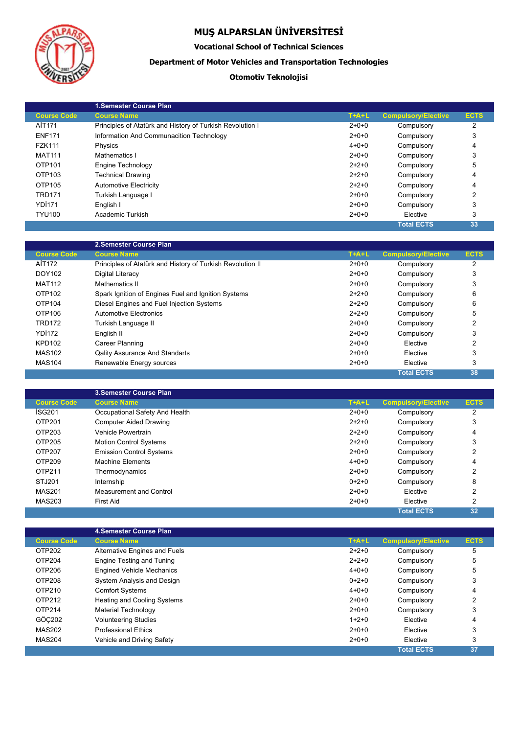

L

# **MUŞ ALPARSLAN ÜNİVERSİTESİ**

### **Vocational School of Technical Sciences**

### **Department of Motor Vehicles and Transportation Technologies**

### **Otomotiv Teknolojisi**

|                    | 1.Semester Course Plan                                    |             |                            |             |
|--------------------|-----------------------------------------------------------|-------------|----------------------------|-------------|
| <b>Course Code</b> | <b>Course Name</b>                                        | $T+A+L$     | <b>Compulsory/Elective</b> | <b>ECTS</b> |
| AİT171             | Principles of Atatürk and History of Turkish Revolution I | $2+0+0$     | Compulsory                 | 2           |
| <b>ENF171</b>      | Information And Communacition Technology                  | $2+0+0$     | Compulsory                 | 3           |
| <b>FZK111</b>      | Physics                                                   | $4 + 0 + 0$ | Compulsory                 | 4           |
| <b>MAT111</b>      | Mathematics I                                             | $2+0+0$     | Compulsory                 | 3           |
| OTP101             | Engine Technology                                         | $2+2+0$     | Compulsory                 | 5           |
| OTP103             | <b>Technical Drawing</b>                                  | $2+2+0$     | Compulsory                 | 4           |
| OTP105             | <b>Automotive Electricity</b>                             | $2+2+0$     | Compulsory                 | 4           |
| <b>TRD171</b>      | Turkish Language I                                        | $2+0+0$     | Compulsory                 | 2           |
| <b>YD1171</b>      | English I                                                 | $2+0+0$     | Compulsory                 | 3           |
| <b>TYU100</b>      | Academic Turkish                                          | $2+0+0$     | Elective                   | 3           |
|                    |                                                           |             | <b>Total ECTS</b>          | 33          |

|                    | 2. Semester Course Plan                                    |         |                            |             |
|--------------------|------------------------------------------------------------|---------|----------------------------|-------------|
| <b>Course Code</b> | <b>Course Name</b>                                         | $T+A+L$ | <b>Compulsory/Elective</b> | <b>ECTS</b> |
| AİT172             | Principles of Atatürk and History of Turkish Revolution II | $2+0+0$ | Compulsory                 | 2           |
| DOY102             | Digital Literacy                                           | $2+0+0$ | Compulsory                 | 3           |
| <b>MAT112</b>      | Mathematics II                                             | $2+0+0$ | Compulsory                 | 3           |
| OTP102             | Spark Ignition of Engines Fuel and Ignition Systems        | $2+2+0$ | Compulsory                 | 6           |
| OTP104             | Diesel Engines and Fuel Injection Systems                  | $2+2+0$ | Compulsory                 | 6           |
| OTP106             | Automotive Electronics                                     | $2+2+0$ | Compulsory                 | 5           |
| <b>TRD172</b>      | Turkish Language II                                        | $2+0+0$ | Compulsory                 | 2           |
| YDI <sub>172</sub> | English II                                                 | $2+0+0$ | Compulsory                 | 3           |
| <b>KPD102</b>      | Career Planning                                            | $2+0+0$ | Elective                   | 2           |
| <b>MAS102</b>      | <b>Qality Assurance And Standarts</b>                      | $2+0+0$ | Elective                   | 3           |
| <b>MAS104</b>      | Renewable Energy sources                                   | $2+0+0$ | Elective                   | 3           |
|                    |                                                            |         | <b>Total ECTS</b>          | 38          |

|                    | <b>3. Semester Course Plan</b>  |             |                            |                |  |
|--------------------|---------------------------------|-------------|----------------------------|----------------|--|
| <b>Course Code</b> | <b>Course Name</b>              | $T+A+L$     | <b>Compulsory/Elective</b> | <b>ECTS</b>    |  |
| ISG <sub>201</sub> | Occupational Safety And Health  | $2+0+0$     | Compulsory                 | 2              |  |
| OTP201             | <b>Computer Aided Drawing</b>   | $2+2+0$     | Compulsory                 | 3              |  |
| OTP203             | Vehicle Powertrain              | $2+2+0$     | Compulsory                 | 4              |  |
| OTP205             | <b>Motion Control Systems</b>   | $2+2+0$     | Compulsory                 | 3              |  |
| OTP207             | <b>Emission Control Systems</b> | $2+0+0$     | Compulsory                 | 2              |  |
| OTP209             | Machine Elements                | $4 + 0 + 0$ | Compulsory                 | 4              |  |
| OTP211             | Thermodynamics                  | $2+0+0$     | Compulsory                 | 2              |  |
| STJ201             | Internship                      | $0+2+0$     | Compulsory                 | 8              |  |
| <b>MAS201</b>      | Measurement and Control         | $2+0+0$     | Elective                   | 2              |  |
| <b>MAS203</b>      | <b>First Aid</b>                | $2+0+0$     | Elective                   | $\overline{2}$ |  |
|                    |                                 |             | <b>Total ECTS</b>          | 32             |  |

|                    | 4. Semester Course Plan            |             |                            |             |  |
|--------------------|------------------------------------|-------------|----------------------------|-------------|--|
| <b>Course Code</b> | <b>Course Name</b>                 | $T+A+L$     | <b>Compulsory/Elective</b> | <b>ECTS</b> |  |
| OTP202             | Alternative Engines and Fuels      | $2+2+0$     | Compulsory                 | 5           |  |
| OTP204             | Engine Testing and Tuning          | $2+2+0$     | Compulsory                 | 5           |  |
| OTP206             | <b>Engined Vehicle Mechanics</b>   | $4 + 0 + 0$ | Compulsory                 | 5           |  |
| OTP208             | System Analysis and Design         | $0+2+0$     | Compulsory                 | 3           |  |
| OTP210             | <b>Comfort Systems</b>             | $4 + 0 + 0$ | Compulsory                 | 4           |  |
| OTP212             | <b>Heating and Cooling Systems</b> | $2+0+0$     | Compulsory                 | 2           |  |
| OTP214             | Material Technology                | $2+0+0$     | Compulsory                 | 3           |  |
| GÖC202             | <b>Volunteering Studies</b>        | $1+2+0$     | Elective                   | 4           |  |
| <b>MAS202</b>      | <b>Professional Ethics</b>         | $2+0+0$     | Elective                   | 3           |  |
| <b>MAS204</b>      | Vehicle and Driving Safety         | $2+0+0$     | Elective                   | 3           |  |
|                    |                                    |             | <b>Total ECTS</b>          | 37          |  |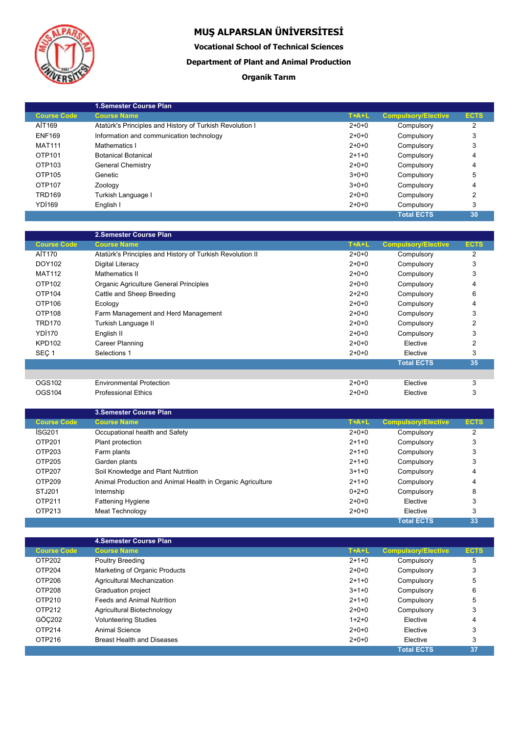

**Vocational School of Technical Sciences**

### **Department of Plant and Animal Production**

### **Organik Tarım**

|                    | 1. Semester Course Plan                                  |         |                            |             |
|--------------------|----------------------------------------------------------|---------|----------------------------|-------------|
| <b>Course Code</b> | <b>Course Name</b>                                       | $T+A+L$ | <b>Compulsory/Elective</b> | <b>ECTS</b> |
| AİT169             | Atatürk's Principles and History of Turkish Revolution I | $2+0+0$ | Compulsory                 | 2           |
| <b>ENF169</b>      | Information and communication technology                 | $2+0+0$ | Compulsory                 | 3           |
| <b>MAT111</b>      | Mathematics I                                            | $2+0+0$ | Compulsory                 | 3           |
| OTP101             | <b>Botanical Botanical</b>                               | $2+1+0$ | Compulsory                 | 4           |
| OTP103             | General Chemistry                                        | $2+0+0$ | Compulsory                 | 4           |
| OTP105             | Genetic                                                  | $3+0+0$ | Compulsory                 | 5           |
| OTP107             | Zoology                                                  | $3+0+0$ | Compulsory                 | 4           |
| <b>TRD169</b>      | Turkish Language I                                       | $2+0+0$ | Compulsory                 | 2           |
| YDI <sub>169</sub> | English I                                                | $2+0+0$ | Compulsory                 | 3           |
|                    |                                                          |         | <b>Total ECTS</b>          | 30          |

|                    | 2.Semester Course Plan                                    |             |                            |             |
|--------------------|-----------------------------------------------------------|-------------|----------------------------|-------------|
| <b>Course Code</b> | <b>Course Name</b>                                        | $T+A+L$     | <b>Compulsory/Elective</b> | <b>ECTS</b> |
| AİT170             | Atatürk's Principles and History of Turkish Revolution II | $2+0+0$     | Compulsory                 | 2           |
| DOY102             | Digital Literacy                                          | $2+0+0$     | Compulsory                 | 3           |
| <b>MAT112</b>      | Mathematics II                                            | $2+0+0$     | Compulsory                 | 3           |
| OTP102             | Organic Agriculture General Principles                    | $2 + 0 + 0$ | Compulsory                 |             |
| OTP104             | Cattle and Sheep Breeding                                 | $2+2+0$     | Compulsory                 | 6           |
| OTP <sub>106</sub> | Ecology                                                   | $2+0+0$     | Compulsory                 | 4           |
| OTP108             | Farm Management and Herd Management                       | $2+0+0$     | Compulsory                 | 3           |
| <b>TRD170</b>      | Turkish Language II                                       | $2+0+0$     | Compulsory                 | 2           |
| YDI170             | English II                                                | $2+0+0$     | Compulsory                 | 3           |
| <b>KPD102</b>      | Career Planning                                           | $2+0+0$     | Elective                   | 2           |
| SEÇ <sub>1</sub>   | Selections 1                                              | $2+0+0$     | Elective                   | 3           |
|                    |                                                           |             | <b>Total ECTS</b>          | 35          |
|                    |                                                           |             |                            |             |
| OGS102             | <b>Environmental Protection</b>                           | $2+0+0$     | Elective                   | 3           |
| OGS104             | <b>Professional Ethics</b>                                | $2+0+0$     | Elective                   | 3           |

|                    | <b>3. Semester Course Plan</b>                             |             |                            |             |
|--------------------|------------------------------------------------------------|-------------|----------------------------|-------------|
| <b>Course Code</b> | <b>Course Name</b>                                         | $T+A+L$     | <b>Compulsory/Elective</b> | <b>ECTS</b> |
| ISG201             | Occupational health and Safety                             | $2 + 0 + 0$ | Compulsory                 | 2           |
| OTP201             | Plant protection                                           | $2+1+0$     | Compulsory                 | 3           |
| OTP203             | Farm plants                                                | $2+1+0$     | Compulsory                 | 3           |
| OTP205             | Garden plants                                              | $2+1+0$     | Compulsory                 | 3           |
| OTP207             | Soil Knowledge and Plant Nutrition                         | $3+1+0$     | Compulsory                 | 4           |
| OTP209             | Animal Production and Animal Health in Organic Agriculture | $2+1+0$     | Compulsory                 | 4           |
| STJ201             | Internship                                                 | $0+2+0$     | Compulsory                 | 8           |
| OTP211             | <b>Fattening Hygiene</b>                                   | $2+0+0$     | Elective                   | 3           |
| OTP213             | Meat Technology                                            | $2+0+0$     | Elective                   | 3           |
|                    |                                                            |             | <b>Total ECTS</b>          | 33          |

|                    | 4. Semester Course Plan           |         |                            |             |  |
|--------------------|-----------------------------------|---------|----------------------------|-------------|--|
| <b>Course Code</b> | <b>Course Name</b>                | $T+A+L$ | <b>Compulsory/Elective</b> | <b>ECTS</b> |  |
| OTP202             | Poultry Breeding                  | $2+1+0$ | Compulsory                 | 5           |  |
| OTP204             | Marketing of Organic Products     | $2+0+0$ | Compulsory                 | 3           |  |
| OTP206             | Agricultural Mechanization        | $2+1+0$ | Compulsory                 | 5           |  |
| OTP208             | Graduation project                | $3+1+0$ | Compulsory                 | 6           |  |
| OTP210             | Feeds and Animal Nutrition        | $2+1+0$ | Compulsory                 | 5           |  |
| OTP212             | Agricultural Biotechnology        | $2+0+0$ | Compulsory                 | 3           |  |
| GÖC202             | <b>Volunteering Studies</b>       | $1+2+0$ | Elective                   | 4           |  |
| OTP214             | Animal Science                    | $2+0+0$ | Elective                   | 3           |  |
| OTP216             | <b>Breast Health and Diseases</b> | $2+0+0$ | Elective                   | 3           |  |
|                    |                                   |         | <b>Total ECTS</b>          | 37          |  |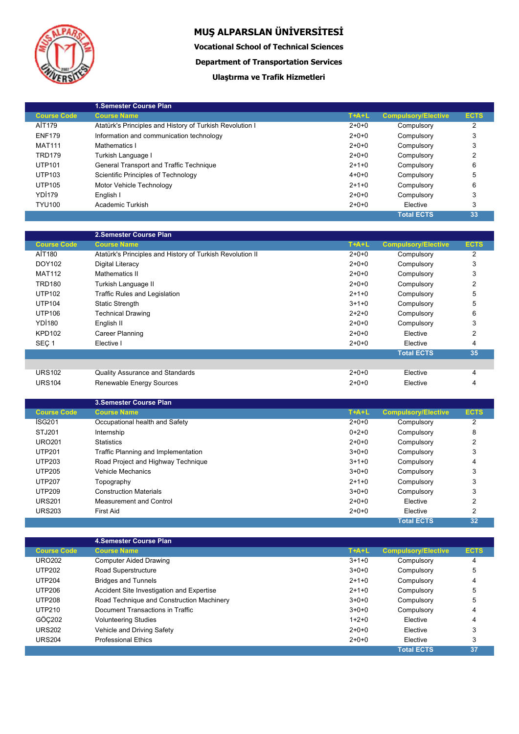

**Vocational School of Technical Sciences**

**Department of Transportation Services**

### **Ulaştırma ve Trafik Hizmetleri**

|                    | 1. Semester Course Plan                                  |             |                            |             |
|--------------------|----------------------------------------------------------|-------------|----------------------------|-------------|
| <b>Course Code</b> | <b>Course Name</b>                                       | $T+A+L$     | <b>Compulsory/Elective</b> | <b>ECTS</b> |
| AİT179             | Atatürk's Principles and History of Turkish Revolution I | $2+0+0$     | Compulsory                 | 2           |
| <b>ENF179</b>      | Information and communication technology                 | $2+0+0$     | Compulsory                 | 3           |
| <b>MAT111</b>      | Mathematics I                                            | $2+0+0$     | Compulsory                 | 3           |
| <b>TRD179</b>      | Turkish Language I                                       | $2+0+0$     | Compulsory                 | 2           |
| <b>UTP101</b>      | General Transport and Traffic Technique                  | $2+1+0$     | Compulsory                 | 6           |
| <b>UTP103</b>      | Scientific Principles of Technology                      | $4 + 0 + 0$ | Compulsory                 | 5           |
| <b>UTP105</b>      | Motor Vehicle Technology                                 | $2+1+0$     | Compulsory                 | 6           |
| YDI <sub>179</sub> | English I                                                | $2+0+0$     | Compulsory                 | 3           |
| <b>TYU100</b>      | Academic Turkish                                         | $2+0+0$     | Elective                   | 3           |
|                    |                                                          |             | <b>Total ECTS</b>          | 33          |

|                    | 2.Semester Course Plan                                    |             |                            |                |
|--------------------|-----------------------------------------------------------|-------------|----------------------------|----------------|
| <b>Course Code</b> | <b>Course Name</b>                                        | $T+A+L$     | <b>Compulsory/Elective</b> | <b>ECTS</b>    |
| AİT180             | Atatürk's Principles and History of Turkish Revolution II | $2+0+0$     | Compulsory                 | 2              |
| DOY102             | Digital Literacy                                          | $2+0+0$     | Compulsory                 | 3              |
| <b>MAT112</b>      | Mathematics II                                            | $2+0+0$     | Compulsory                 | 3              |
| <b>TRD180</b>      | Turkish Language II                                       | $2+0+0$     | Compulsory                 | $\overline{2}$ |
| <b>UTP102</b>      | <b>Traffic Rules and Legislation</b>                      | $2+1+0$     | Compulsory                 | 5              |
| <b>UTP104</b>      | <b>Static Strength</b>                                    | $3+1+0$     | Compulsory                 | 5              |
| <b>UTP106</b>      | <b>Technical Drawing</b>                                  | $2 + 2 + 0$ | Compulsory                 | 6              |
| <b>YD1180</b>      | English II                                                | $2+0+0$     | Compulsory                 | 3              |
| <b>KPD102</b>      | Career Planning                                           | $2+0+0$     | Elective                   | $\overline{2}$ |
| SEÇ <sub>1</sub>   | Elective I                                                | $2+0+0$     | Elective                   | 4              |
|                    |                                                           |             | <b>Total ECTS</b>          | 35             |
|                    |                                                           |             |                            |                |
| <b>URS102</b>      | Quality Assurance and Standards                           | $2+0+0$     | Elective                   | 4              |
| <b>URS104</b>      | Renewable Energy Sources                                  | $2+0+0$     | Elective                   | 4              |

|                    | <b>3. Semester Course Plan</b>      |             |                            |             |
|--------------------|-------------------------------------|-------------|----------------------------|-------------|
| <b>Course Code</b> | <b>Course Name</b>                  | $T+A+L$     | <b>Compulsory/Elective</b> | <b>ECTS</b> |
| ISG <sub>201</sub> | Occupational health and Safety      | $2+0+0$     | Compulsory                 | 2           |
| STJ201             | Internship                          | $0+2+0$     | Compulsory                 | 8           |
| <b>URO201</b>      | <b>Statistics</b>                   | $2+0+0$     | Compulsory                 | 2           |
| <b>UTP201</b>      | Traffic Planning and Implementation | $3+0+0$     | Compulsory                 | 3           |
| <b>UTP203</b>      | Road Project and Highway Technique  | $3+1+0$     | Compulsory                 | 4           |
| <b>UTP205</b>      | <b>Vehicle Mechanics</b>            | $3+0+0$     | Compulsory                 | 3           |
| <b>UTP207</b>      | Topography                          | $2+1+0$     | Compulsory                 | 3           |
| <b>UTP209</b>      | <b>Construction Materials</b>       | $3+0+0$     | Compulsory                 | 3           |
| <b>URS201</b>      | Measurement and Control             | $2+0+0$     | Elective                   | 2           |
| <b>URS203</b>      | <b>First Aid</b>                    | $2 + 0 + 0$ | Elective                   | 2           |
|                    |                                     |             | <b>Total ECTS</b>          | 32          |

|                    | 4. Semester Course Plan                   |         |                            |             |
|--------------------|-------------------------------------------|---------|----------------------------|-------------|
| <b>Course Code</b> | <b>Course Name</b>                        | $T+A+L$ | <b>Compulsory/Elective</b> | <b>ECTS</b> |
| <b>URO202</b>      | <b>Computer Aided Drawing</b>             | $3+1+0$ | Compulsory                 | 4           |
| <b>UTP202</b>      | Road Superstructure                       | $3+0+0$ | Compulsory                 | 5           |
| <b>UTP204</b>      | <b>Bridges and Tunnels</b>                | $2+1+0$ | Compulsory                 | 4           |
| <b>UTP206</b>      | Accident Site Investigation and Expertise | $2+1+0$ | Compulsory                 | 5           |
| <b>UTP208</b>      | Road Technique and Construction Machinery | $3+0+0$ | Compulsory                 | 5           |
| <b>UTP210</b>      | Document Transactions in Traffic          | $3+0+0$ | Compulsory                 | 4           |
| GÖC202             | <b>Volunteering Studies</b>               | $1+2+0$ | Elective                   | 4           |
| <b>URS202</b>      | Vehicle and Driving Safety                | $2+0+0$ | Elective                   | 3           |
| <b>URS204</b>      | <b>Professional Ethics</b>                | $2+0+0$ | Elective                   | 3           |
|                    |                                           |         | <b>Total ECTS</b>          | 37          |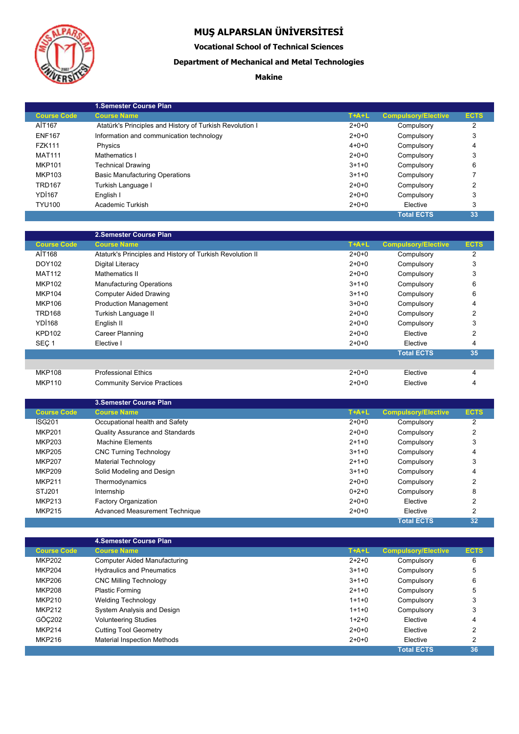

Į

# **MUŞ ALPARSLAN ÜNİVERSİTESİ**

**Vocational School of Technical Sciences**

### **Department of Mechanical and Metal Technologies**

### **Makine**

|                    | 1. Semester Course Plan                                  |             |                            |             |
|--------------------|----------------------------------------------------------|-------------|----------------------------|-------------|
| <b>Course Code</b> | <b>Course Name</b>                                       | $T+A+L$     | <b>Compulsory/Elective</b> | <b>ECTS</b> |
| AİT167             | Atatürk's Principles and History of Turkish Revolution I | $2+0+0$     | Compulsory                 | 2           |
| <b>ENF167</b>      | Information and communication technology                 | $2+0+0$     | Compulsory                 | 3           |
| <b>FZK111</b>      | Physics                                                  | $4 + 0 + 0$ | Compulsory                 | 4           |
| <b>MAT111</b>      | Mathematics I                                            | $2+0+0$     | Compulsory                 |             |
| <b>MKP101</b>      | <b>Technical Drawing</b>                                 | $3+1+0$     | Compulsory                 | 6           |
| MKP103             | <b>Basic Manufacturing Operations</b>                    | $3+1+0$     | Compulsory                 |             |
| <b>TRD167</b>      | Turkish Language I                                       | $2+0+0$     | Compulsory                 | 2           |
| <b>YD1167</b>      | English I                                                | $2+0+0$     | Compulsory                 | 3           |
| <b>TYU100</b>      | Academic Turkish                                         | $2+0+0$     | Elective                   | 3           |
|                    |                                                          |             | <b>Total ECTS</b>          | 33          |

|                    | 2.Semester Course Plan                                    |         |                            |                |
|--------------------|-----------------------------------------------------------|---------|----------------------------|----------------|
| <b>Course Code</b> | <b>Course Name</b>                                        | $T+A+L$ | <b>Compulsory/Elective</b> | <b>ECTS</b>    |
| AİT168             | Ataturk's Principles and History of Turkish Revolution II | $2+0+0$ | Compulsory                 | 2              |
| DOY102             | Digital Literacy                                          | $2+0+0$ | Compulsory                 | 3              |
| <b>MAT112</b>      | Mathematics II                                            | $2+0+0$ | Compulsory                 | 3              |
| <b>MKP102</b>      | <b>Manufacturing Operations</b>                           | $3+1+0$ | Compulsory                 | 6              |
| <b>MKP104</b>      | <b>Computer Aided Drawing</b>                             | $3+1+0$ | Compulsory                 | 6              |
| <b>MKP106</b>      | <b>Production Management</b>                              | $3+0+0$ | Compulsory                 | 4              |
| <b>TRD168</b>      | Turkish Language II                                       | $2+0+0$ | Compulsory                 | 2              |
| <b>YD1168</b>      | English II                                                | $2+0+0$ | Compulsory                 | 3              |
| <b>KPD102</b>      | Career Planning                                           | $2+0+0$ | Elective                   | $\overline{2}$ |
| SEC <sub>1</sub>   | Elective I                                                | $2+0+0$ | Elective                   | 4              |
|                    |                                                           |         | <b>Total ECTS</b>          | 35             |
|                    |                                                           |         |                            |                |
| <b>MKP108</b>      | <b>Professional Ethics</b>                                | $2+0+0$ | Elective                   | 4              |
| <b>MKP110</b>      | <b>Community Service Practices</b>                        | $2+0+0$ | Elective                   | 4              |

|                    | <b>3. Semester Course Plan</b>  |         |                            |             |
|--------------------|---------------------------------|---------|----------------------------|-------------|
| <b>Course Code</b> | <b>Course Name</b>              | $T+A+L$ | <b>Compulsory/Elective</b> | <b>ECTS</b> |
| ISG <sub>201</sub> | Occupational health and Safety  | $2+0+0$ | Compulsory                 | 2           |
| <b>MKP201</b>      | Quality Assurance and Standards | $2+0+0$ | Compulsory                 | 2           |
| MKP203             | <b>Machine Elements</b>         | $2+1+0$ | Compulsory                 | 3           |
| <b>MKP205</b>      | <b>CNC Turning Technology</b>   | $3+1+0$ | Compulsory                 | 4           |
| <b>MKP207</b>      | Material Technology             | $2+1+0$ | Compulsory                 | 3           |
| <b>MKP209</b>      | Solid Modeling and Design       | $3+1+0$ | Compulsory                 | 4           |
| <b>MKP211</b>      | Thermodynamics                  | $2+0+0$ | Compulsory                 | 2           |
| STJ201             | Internship                      | $0+2+0$ | Compulsory                 | 8           |
| <b>MKP213</b>      | <b>Factory Organization</b>     | $2+0+0$ | Elective                   | 2           |
| <b>MKP215</b>      | Advanced Measurement Technique  | $2+0+0$ | Elective                   | 2           |
|                    |                                 |         | <b>Total ECTS</b>          | 32          |

|                    | 4. Semester Course Plan            |             |                            |             |  |
|--------------------|------------------------------------|-------------|----------------------------|-------------|--|
| <b>Course Code</b> | <b>Course Name</b>                 | $T+A+L$     | <b>Compulsory/Elective</b> | <b>ECTS</b> |  |
| <b>MKP202</b>      | Computer Aided Manufacturing       | $2+2+0$     | Compulsory                 | 6           |  |
| <b>MKP204</b>      | <b>Hydraulics and Pneumatics</b>   | $3+1+0$     | Compulsory                 | 5           |  |
| <b>MKP206</b>      | <b>CNC Milling Technology</b>      | $3+1+0$     | Compulsory                 | 6           |  |
| <b>MKP208</b>      | <b>Plastic Forming</b>             | $2+1+0$     | Compulsory                 | 5           |  |
| <b>MKP210</b>      | Welding Technology                 | $1+1+0$     | Compulsory                 | 3           |  |
| <b>MKP212</b>      | System Analysis and Design         | $1+1+0$     | Compulsory                 | 3           |  |
| GÖC202             | <b>Volunteering Studies</b>        | $1+2+0$     | Elective                   | 4           |  |
| <b>MKP214</b>      | <b>Cutting Tool Geometry</b>       | $2 + 0 + 0$ | Elective                   | 2           |  |
| <b>MKP216</b>      | <b>Material Inspection Methods</b> | $2 + 0 + 0$ | Elective                   | 2           |  |
|                    |                                    |             | <b>Total ECTS</b>          | 36          |  |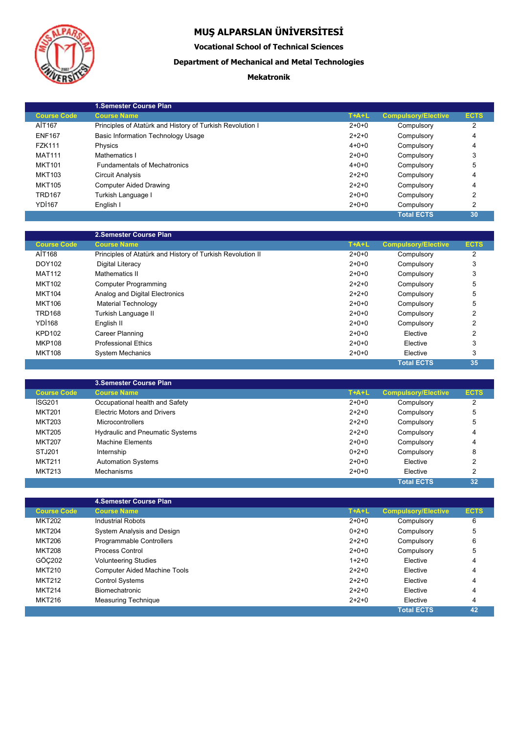

**Vocational School of Technical Sciences**

### **Department of Mechanical and Metal Technologies**

### **Mekatronik**

|                    | 1. Semester Course Plan                                   |             |                            |             |
|--------------------|-----------------------------------------------------------|-------------|----------------------------|-------------|
| <b>Course Code</b> | <b>Course Name</b>                                        | $T+A+L$     | <b>Compulsory/Elective</b> | <b>ECTS</b> |
| AİT167             | Principles of Atatürk and History of Turkish Revolution I | $2+0+0$     | Compulsory                 | 2           |
| <b>ENF167</b>      | <b>Basic Information Technology Usage</b>                 | $2+2+0$     | Compulsory                 | 4           |
| <b>FZK111</b>      | Physics                                                   | $4 + 0 + 0$ | Compulsory                 | 4           |
| <b>MAT111</b>      | Mathematics I                                             | $2+0+0$     | Compulsory                 | 3           |
| <b>MKT101</b>      | <b>Fundamentals of Mechatronics</b>                       | $4 + 0 + 0$ | Compulsory                 | 5           |
| MKT103             | Circuit Analysis                                          | $2+2+0$     | Compulsory                 | 4           |
| <b>MKT105</b>      | <b>Computer Aided Drawing</b>                             | $2+2+0$     | Compulsory                 | 4           |
| <b>TRD167</b>      | Turkish Language I                                        | $2+0+0$     | Compulsory                 | 2           |
| <b>YD1167</b>      | English I                                                 | $2+0+0$     | Compulsory                 | 2           |
|                    |                                                           |             | <b>Total ECTS</b>          | 30          |

|                    | 2.Semester Course Plan                                     |             |                            |             |
|--------------------|------------------------------------------------------------|-------------|----------------------------|-------------|
| <b>Course Code</b> | <b>Course Name</b>                                         | $T+A+L$     | <b>Compulsory/Elective</b> | <b>ECTS</b> |
| AİT168             | Principles of Atatürk and History of Turkish Revolution II | $2+0+0$     | Compulsory                 | 2           |
| DOY102             | Digital Literacy                                           | $2+0+0$     | Compulsory                 | 3           |
| <b>MAT112</b>      | Mathematics II                                             | $2+0+0$     | Compulsory                 | 3           |
| <b>MKT102</b>      | <b>Computer Programming</b>                                | $2 + 2 + 0$ | Compulsory                 | 5           |
| <b>MKT104</b>      | Analog and Digital Electronics                             | $2 + 2 + 0$ | Compulsory                 | 5           |
| <b>MKT106</b>      | Material Technology                                        | $2+0+0$     | Compulsory                 | 5           |
| <b>TRD168</b>      | Turkish Language II                                        | $2+0+0$     | Compulsory                 | 2           |
| YDI <sub>168</sub> | English II                                                 | $2+0+0$     | Compulsory                 | 2           |
| <b>KPD102</b>      | Career Planning                                            | $2+0+0$     | Elective                   | 2           |
| <b>MKP108</b>      | <b>Professional Ethics</b>                                 | $2+0+0$     | Elective                   | 3           |
| <b>MKT108</b>      | <b>System Mechanics</b>                                    | $2+0+0$     | Elective                   | 3           |
|                    |                                                            |             | <b>Total ECTS</b>          | 35          |

|                    | <b>3.Semester Course Plan</b>          |         |                            |             |
|--------------------|----------------------------------------|---------|----------------------------|-------------|
| <b>Course Code</b> | <b>Course Name</b>                     | $T+A+L$ | <b>Compulsory/Elective</b> | <b>ECTS</b> |
| İSG201             | Occupational health and Safety         | $2+0+0$ | Compulsory                 | 2           |
| <b>MKT201</b>      | <b>Electric Motors and Drivers</b>     | $2+2+0$ | Compulsory                 | 5           |
| <b>MKT203</b>      | <b>Microcontrollers</b>                | $2+2+0$ | Compulsory                 | 5           |
| <b>MKT205</b>      | <b>Hydraulic and Pneumatic Systems</b> | $2+2+0$ | Compulsory                 | 4           |
| <b>MKT207</b>      | <b>Machine Elements</b>                | $2+0+0$ | Compulsory                 | 4           |
| STJ201             | Internship                             | $0+2+0$ | Compulsory                 | 8           |
| <b>MKT211</b>      | <b>Automation Systems</b>              | $2+0+0$ | Elective                   | 2           |
| <b>MKT213</b>      | Mechanisms                             | $2+0+0$ | Elective                   | 2           |
|                    |                                        |         | <b>Total ECTS</b>          | 32          |

| <b>Course Name</b>                  | $T+A+L$                 | <b>Compulsory/Elective</b> | <b>ECTS</b> |
|-------------------------------------|-------------------------|----------------------------|-------------|
| <b>Industrial Robots</b>            | $2+0+0$                 | Compulsory                 | 6           |
| System Analysis and Design          | $0+2+0$                 | Compulsory                 | 5           |
| Programmable Controllers            | $2+2+0$                 | Compulsory                 | 6           |
| Process Control                     | $2+0+0$                 | Compulsory                 | 5           |
| <b>Volunteering Studies</b>         | $1+2+0$                 | Elective                   | 4           |
| <b>Computer Aided Machine Tools</b> | $2 + 2 + 0$             | Elective                   | 4           |
| <b>Control Systems</b>              | $2+2+0$                 | Elective                   | 4           |
| <b>Biomechatronic</b>               | $2+2+0$                 | Elective                   | 4           |
| <b>Measuring Technique</b>          | $2 + 2 + 0$             | Elective                   | 4           |
|                                     |                         | <b>Total ECTS</b>          | 42          |
|                                     | 4. Semester Course Plan |                            |             |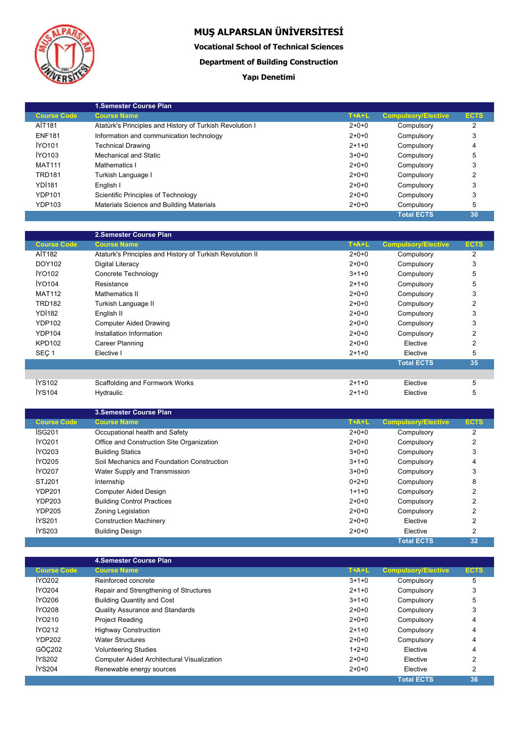

**Vocational School of Technical Sciences**

**Department of Building Construction**

### **Yapı Denetimi**

|                    | <b>1.Semester Course Plan</b>                            |         |                            |             |
|--------------------|----------------------------------------------------------|---------|----------------------------|-------------|
| <b>Course Code</b> | <b>Course Name</b>                                       | $T+A+L$ | <b>Compulsory/Elective</b> | <b>ECTS</b> |
| AİT181             | Atatürk's Principles and History of Turkish Revolution I | $2+0+0$ | Compulsory                 | 2           |
| <b>ENF181</b>      | Information and communication technology                 | $2+0+0$ | Compulsory                 | 3           |
| İYO101             | <b>Technical Drawing</b>                                 | $2+1+0$ | Compulsory                 | 4           |
| IYO103             | Mechanical and Static                                    | $3+0+0$ | Compulsory                 | 5           |
| <b>MAT111</b>      | Mathematics I                                            | $2+0+0$ | Compulsory                 |             |
| <b>TRD181</b>      | Turkish Language I                                       | $2+0+0$ | Compulsory                 |             |
| <b>YD1181</b>      | English I                                                | $2+0+0$ | Compulsory                 | 3           |
| <b>YDP101</b>      | Scientific Principles of Technology                      | $2+0+0$ | Compulsory                 | 3           |
| <b>YDP103</b>      | Materials Science and Building Materials                 | $2+0+0$ | Compulsory                 | 5           |
|                    |                                                          |         | <b>Total ECTS</b>          | 30          |

|                    | 2.Semester Course Plan                                    |         |                            |             |
|--------------------|-----------------------------------------------------------|---------|----------------------------|-------------|
| <b>Course Code</b> | <b>Course Name</b>                                        | $T+A+L$ | <b>Compulsory/Elective</b> | <b>ECTS</b> |
| AİT182             | Ataturk's Principles and History of Turkish Revolution II | $2+0+0$ | Compulsory                 | 2           |
| DOY102             | Digital Literacy                                          | $2+0+0$ | Compulsory                 | 3           |
| <b>IYO102</b>      | Concrete Technology                                       | $3+1+0$ | Compulsory                 | 5           |
| <b>İYO104</b>      | Resistance                                                | $2+1+0$ | Compulsory                 | 5           |
| <b>MAT112</b>      | Mathematics II                                            | $2+0+0$ | Compulsory                 | 3           |
| <b>TRD182</b>      | Turkish Language II                                       | $2+0+0$ | Compulsory                 | 2           |
| <b>YD1182</b>      | English II                                                | $2+0+0$ | Compulsory                 | 3           |
| <b>YDP102</b>      | <b>Computer Aided Drawing</b>                             | $2+0+0$ | Compulsory                 | 3           |
| <b>YDP104</b>      | Installation Information                                  | $2+0+0$ | Compulsory                 | 2           |
| <b>KPD102</b>      | Career Planning                                           | $2+0+0$ | Elective                   | 2           |
| SEÇ <sub>1</sub>   | Elective I                                                | $2+1+0$ | Elective                   | 5           |
|                    |                                                           |         | <b>Total ECTS</b>          | 35          |
|                    |                                                           |         |                            |             |
| <b>İYS102</b>      | Scaffolding and Formwork Works                            | $2+1+0$ | Elective                   | 5           |
| <b>IYS104</b>      | <b>Hydraulic</b>                                          | $2+1+0$ | Elective                   | 5           |

|                    | <b>3.Semester Course Plan</b>              |         |                            |             |
|--------------------|--------------------------------------------|---------|----------------------------|-------------|
| <b>Course Code</b> | <b>Course Name</b>                         | $T+A+L$ | <b>Compulsory/Elective</b> | <b>ECTS</b> |
| ISG201             | Occupational health and Safety             | $2+0+0$ | Compulsory                 | 2           |
| <b>IYO201</b>      | Office and Construction Site Organization  | $2+0+0$ | Compulsory                 | 2           |
| <b>IYO203</b>      | <b>Building Statics</b>                    | $3+0+0$ | Compulsory                 | 3           |
| <b>IYO205</b>      | Soil Mechanics and Foundation Construction | $3+1+0$ | Compulsory                 | 4           |
| <b>İYO207</b>      | Water Supply and Transmission              | $3+0+0$ | Compulsory                 | 3           |
| STJ201             | Internship                                 | $0+2+0$ | Compulsory                 | 8           |
| <b>YDP201</b>      | <b>Computer Aided Design</b>               | $1+1+0$ | Compulsory                 | 2           |
| <b>YDP203</b>      | <b>Building Control Practices</b>          | $2+0+0$ | Compulsory                 | 2           |
| <b>YDP205</b>      | Zoning Legislation                         | $2+0+0$ | Compulsory                 | 2           |
| <b>İYS201</b>      | <b>Construction Machinery</b>              | $2+0+0$ | Elective                   | 2           |
| <b>IYS203</b>      | <b>Building Design</b>                     | $2+0+0$ | Elective                   | 2           |
|                    |                                            |         | <b>Total ECTS</b>          | 32          |

|                    | 4. Semester Course Plan                           |         |                            |             |  |
|--------------------|---------------------------------------------------|---------|----------------------------|-------------|--|
| <b>Course Code</b> | <b>Course Name</b>                                | $T+A+L$ | <b>Compulsory/Elective</b> | <b>ECTS</b> |  |
| <b>IYO202</b>      | Reinforced concrete                               | $3+1+0$ | Compulsory                 | 5           |  |
| <b>İYO204</b>      | Repair and Strengthening of Structures            | $2+1+0$ | Compulsory                 | 3           |  |
| İYO206             | <b>Building Quantity and Cost</b>                 | $3+1+0$ | Compulsory                 | 5           |  |
| <b>İYO208</b>      | Quality Assurance and Standards                   | $2+0+0$ | Compulsory                 | 3           |  |
| İYO210             | <b>Project Reading</b>                            | $2+0+0$ | Compulsory                 | 4           |  |
| <b>IYO212</b>      | <b>Highway Construction</b>                       | $2+1+0$ | Compulsory                 | 4           |  |
| <b>YDP202</b>      | <b>Water Structures</b>                           | $2+0+0$ | Compulsory                 | 4           |  |
| GÖC202             | <b>Volunteering Studies</b>                       | $1+2+0$ | Elective                   | 4           |  |
| <b>İYS202</b>      | <b>Computer Aided Architectural Visualization</b> | $2+0+0$ | Elective                   | 2           |  |
| <b>İYS204</b>      | Renewable energy sources                          | $2+0+0$ | Elective                   | 2           |  |
|                    |                                                   |         | <b>Total ECTS</b>          | 36          |  |